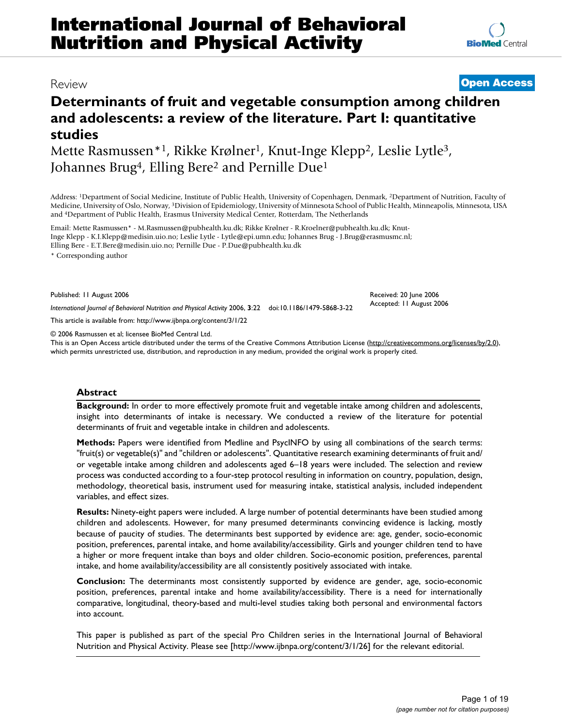# **Determinants of fruit and vegetable consumption among children and adolescents: a review of the literature. Part I: quantitative studies**

Mette Rasmussen<sup>\*1</sup>, Rikke Krølner<sup>1</sup>, Knut-Inge Klepp<sup>2</sup>, Leslie Lytle<sup>3</sup>, Johannes Brug4, Elling Bere2 and Pernille Due1

Address: 1Department of Social Medicine, Institute of Public Health, University of Copenhagen, Denmark, 2Department of Nutrition, Faculty of Medicine, University of Oslo, Norway, 3Division of Epidemiology, University of Minnesota School of Public Health, Minneapolis, Minnesota, USA and 4Department of Public Health, Erasmus University Medical Center, Rotterdam, The Netherlands

Email: Mette Rasmussen\* - M.Rasmussen@pubhealth.ku.dk; Rikke Krølner - R.Kroelner@pubhealth.ku.dk; Knut-Inge Klepp - K.I.Klepp@medisin.uio.no; Leslie Lytle - Lytle@epi.umn.edu; Johannes Brug - J.Brug@erasmusmc.nl; Elling Bere - E.T.Bere@medisin.uio.no; Pernille Due - P.Due@pubhealth.ku.dk

\* Corresponding author

Published: 11 August 2006 *International Journal of Behavioral Nutrition and Physical Activity* 2006, **3**:22 doi:10.1186/1479-5868-3-22

[This article is available from: http://www.ijbnpa.org/content/3/1/22](http://www.ijbnpa.org/content/3/1/22)

© 2006 Rasmussen et al; licensee BioMed Central Ltd.

This is an Open Access article distributed under the terms of the Creative Commons Attribution License [\(http://creativecommons.org/licenses/by/2.0\)](http://creativecommons.org/licenses/by/2.0), which permits unrestricted use, distribution, and reproduction in any medium, provided the original work is properly cited.

## **Abstract**

**Background:** In order to more effectively promote fruit and vegetable intake among children and adolescents, insight into determinants of intake is necessary. We conducted a review of the literature for potential determinants of fruit and vegetable intake in children and adolescents.

**Methods:** Papers were identified from Medline and PsycINFO by using all combinations of the search terms: "fruit(s) or vegetable(s)" and "children or adolescents". Quantitative research examining determinants of fruit and/ or vegetable intake among children and adolescents aged 6–18 years were included. The selection and review process was conducted according to a four-step protocol resulting in information on country, population, design, methodology, theoretical basis, instrument used for measuring intake, statistical analysis, included independent variables, and effect sizes.

**Results:** Ninety-eight papers were included. A large number of potential determinants have been studied among children and adolescents. However, for many presumed determinants convincing evidence is lacking, mostly because of paucity of studies. The determinants best supported by evidence are: age, gender, socio-economic position, preferences, parental intake, and home availability/accessibility. Girls and younger children tend to have a higher or more frequent intake than boys and older children. Socio-economic position, preferences, parental intake, and home availability/accessibility are all consistently positively associated with intake.

**Conclusion:** The determinants most consistently supported by evidence are gender, age, socio-economic position, preferences, parental intake and home availability/accessibility. There is a need for internationally comparative, longitudinal, theory-based and multi-level studies taking both personal and environmental factors into account.

[This paper is published as part of the special Pro Children series in the International Journal of Behavioral](http://www.ijbnpa.org/content/3/1/26) [Nutrition and Physical Activity. Please see \[http://www.ijbnpa.org/content/3/1/26\] for the relevant editorial.](http://www.ijbnpa.org/content/3/1/26)

# Review **[Open Access](http://www.biomedcentral.com/info/about/charter/)**

Received: 20 June 2006 Accepted: 11 August 2006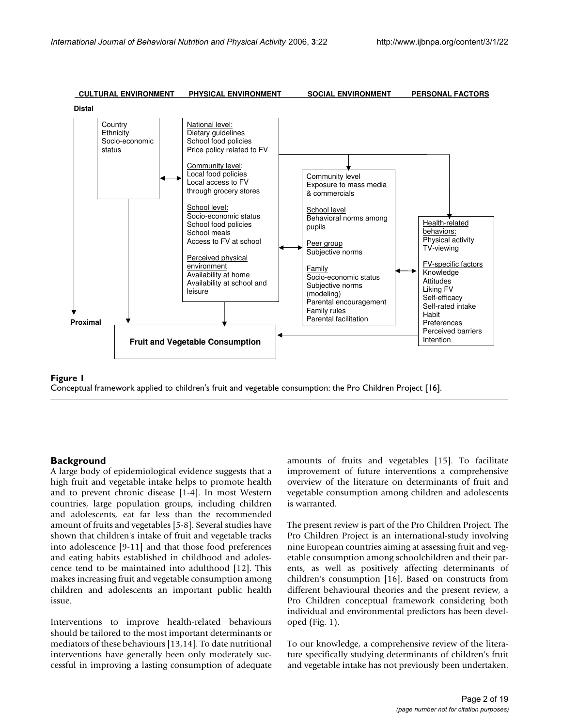

Conceptual framework applied to children's fruit and vegetable consumption: the Pro Children Project [16].

# **Background**

A large body of epidemiological evidence suggests that a high fruit and vegetable intake helps to promote health and to prevent chronic disease [1-4]. In most Western countries, large population groups, including children and adolescents, eat far less than the recommended amount of fruits and vegetables [5-8]. Several studies have shown that children's intake of fruit and vegetable tracks into adolescence [9-11] and that those food preferences and eating habits established in childhood and adolescence tend to be maintained into adulthood [12]. This makes increasing fruit and vegetable consumption among children and adolescents an important public health issue.

Interventions to improve health-related behaviours should be tailored to the most important determinants or mediators of these behaviours [13,14]. To date nutritional interventions have generally been only moderately successful in improving a lasting consumption of adequate amounts of fruits and vegetables [15]. To facilitate improvement of future interventions a comprehensive overview of the literature on determinants of fruit and vegetable consumption among children and adolescents is warranted.

The present review is part of the Pro Children Project. The Pro Children Project is an international-study involving nine European countries aiming at assessing fruit and vegetable consumption among schoolchildren and their parents, as well as positively affecting determinants of children's consumption [16]. Based on constructs from different behavioural theories and the present review, a Pro Children conceptual framework considering both individual and environmental predictors has been developed (Fig. 1).

To our knowledge, a comprehensive review of the literature specifically studying determinants of children's fruit and vegetable intake has not previously been undertaken.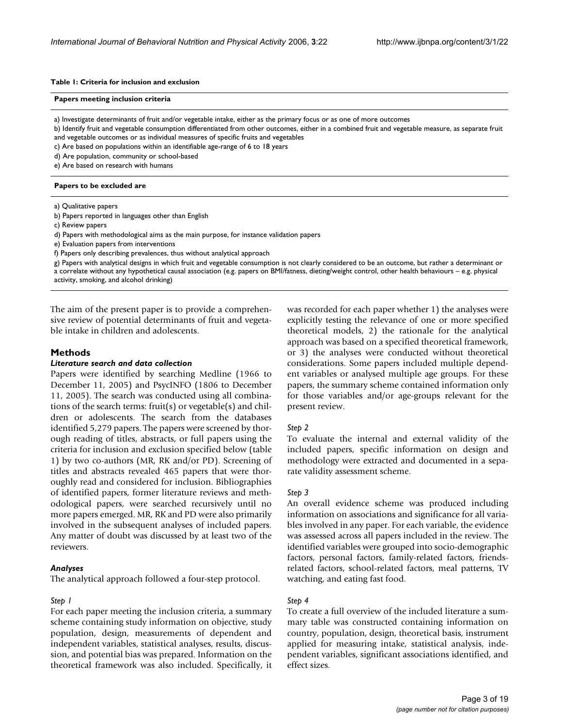#### **Table 1: Criteria for inclusion and exclusion**

#### **Papers meeting inclusion criteria**

a) Investigate determinants of fruit and/or vegetable intake, either as the primary focus or as one of more outcomes

b) Identify fruit and vegetable consumption differentiated from other outcomes, either in a combined fruit and vegetable measure, as separate fruit and vegetable outcomes or as individual measures of specific fruits and vegetables

c) Are based on populations within an identifiable age-range of 6 to 18 years

d) Are population, community or school-based e) Are based on research with humans

**Papers to be excluded are**

a) Qualitative papers

b) Papers reported in languages other than English

c) Review papers

d) Papers with methodological aims as the main purpose, for instance validation papers

e) Evaluation papers from interventions

f) Papers only describing prevalences, thus without analytical approach

g) Papers with analytical designs in which fruit and vegetable consumption is not clearly considered to be an outcome, but rather a determinant or a correlate without any hypothetical causal association (e.g. papers on BMI/fatness, dieting/weight control, other health behaviours – e.g. physical activity, smoking, and alcohol drinking)

The aim of the present paper is to provide a comprehensive review of potential determinants of fruit and vegetable intake in children and adolescents.

#### **Methods**

#### *Literature search and data collection*

Papers were identified by searching Medline (1966 to December 11, 2005) and PsycINFO (1806 to December 11, 2005). The search was conducted using all combinations of the search terms: fruit(s) or vegetable(s) and children or adolescents. The search from the databases identified 5,279 papers. The papers were screened by thorough reading of titles, abstracts, or full papers using the criteria for inclusion and exclusion specified below (table 1) by two co-authors (MR, RK and/or PD). Screening of titles and abstracts revealed 465 papers that were thoroughly read and considered for inclusion. Bibliographies of identified papers, former literature reviews and methodological papers, were searched recursively until no more papers emerged. MR, RK and PD were also primarily involved in the subsequent analyses of included papers. Any matter of doubt was discussed by at least two of the reviewers.

#### *Analyses*

The analytical approach followed a four-step protocol.

#### *Step 1*

For each paper meeting the inclusion criteria, a summary scheme containing study information on objective, study population, design, measurements of dependent and independent variables, statistical analyses, results, discussion, and potential bias was prepared. Information on the theoretical framework was also included. Specifically, it was recorded for each paper whether 1) the analyses were explicitly testing the relevance of one or more specified theoretical models, 2) the rationale for the analytical approach was based on a specified theoretical framework, or 3) the analyses were conducted without theoretical considerations. Some papers included multiple dependent variables or analysed multiple age groups. For these papers, the summary scheme contained information only for those variables and/or age-groups relevant for the present review.

#### *Step 2*

To evaluate the internal and external validity of the included papers, specific information on design and methodology were extracted and documented in a separate validity assessment scheme.

#### *Step 3*

An overall evidence scheme was produced including information on associations and significance for all variables involved in any paper. For each variable, the evidence was assessed across all papers included in the review. The identified variables were grouped into socio-demographic factors, personal factors, family-related factors, friendsrelated factors, school-related factors, meal patterns, TV watching, and eating fast food.

#### *Step 4*

To create a full overview of the included literature a summary table was constructed containing information on country, population, design, theoretical basis, instrument applied for measuring intake, statistical analysis, independent variables, significant associations identified, and effect sizes.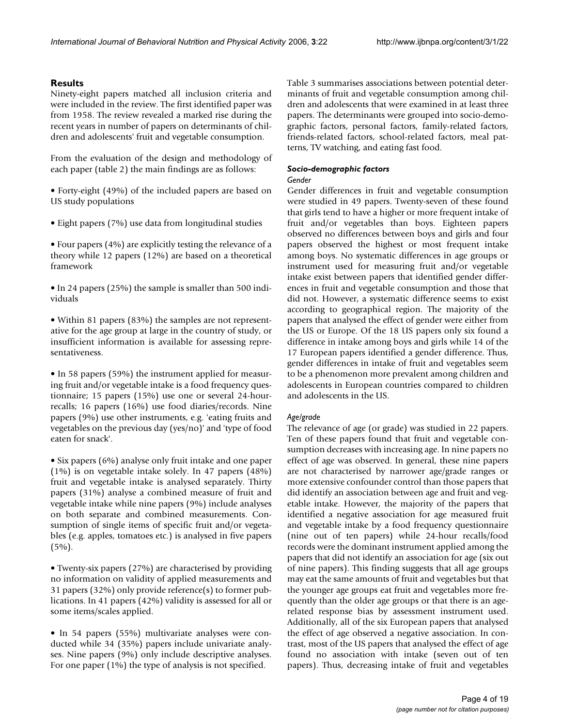# **Results**

Ninety-eight papers matched all inclusion criteria and were included in the review. The first identified paper was from 1958. The review revealed a marked rise during the recent years in number of papers on determinants of children and adolescents' fruit and vegetable consumption.

From the evaluation of the design and methodology of each paper (table 2) the main findings are as follows:

- Forty-eight (49%) of the included papers are based on US study populations
- Eight papers (7%) use data from longitudinal studies

• Four papers (4%) are explicitly testing the relevance of a theory while 12 papers (12%) are based on a theoretical framework

- In 24 papers (25%) the sample is smaller than 500 individuals
- Within 81 papers (83%) the samples are not representative for the age group at large in the country of study, or insufficient information is available for assessing representativeness.

• In 58 papers (59%) the instrument applied for measuring fruit and/or vegetable intake is a food frequency questionnaire; 15 papers (15%) use one or several 24-hourrecalls; 16 papers (16%) use food diaries/records. Nine papers (9%) use other instruments, e.g. 'eating fruits and vegetables on the previous day (yes/no)' and 'type of food eaten for snack'.

• Six papers (6%) analyse only fruit intake and one paper (1%) is on vegetable intake solely. In 47 papers (48%) fruit and vegetable intake is analysed separately. Thirty papers (31%) analyse a combined measure of fruit and vegetable intake while nine papers (9%) include analyses on both separate and combined measurements. Consumption of single items of specific fruit and/or vegetables (e.g. apples, tomatoes etc.) is analysed in five papers  $(5\%)$ .

• Twenty-six papers (27%) are characterised by providing no information on validity of applied measurements and 31 papers (32%) only provide reference(s) to former publications. In 41 papers (42%) validity is assessed for all or some items/scales applied.

• In 54 papers (55%) multivariate analyses were conducted while 34 (35%) papers include univariate analyses. Nine papers (9%) only include descriptive analyses. For one paper (1%) the type of analysis is not specified.

Table 3 summarises associations between potential determinants of fruit and vegetable consumption among children and adolescents that were examined in at least three papers. The determinants were grouped into socio-demographic factors, personal factors, family-related factors, friends-related factors, school-related factors, meal patterns, TV watching, and eating fast food.

# *Socio-demographic factors*

# *Gender*

Gender differences in fruit and vegetable consumption were studied in 49 papers. Twenty-seven of these found that girls tend to have a higher or more frequent intake of fruit and/or vegetables than boys. Eighteen papers observed no differences between boys and girls and four papers observed the highest or most frequent intake among boys. No systematic differences in age groups or instrument used for measuring fruit and/or vegetable intake exist between papers that identified gender differences in fruit and vegetable consumption and those that did not. However, a systematic difference seems to exist according to geographical region. The majority of the papers that analysed the effect of gender were either from the US or Europe. Of the 18 US papers only six found a difference in intake among boys and girls while 14 of the 17 European papers identified a gender difference. Thus, gender differences in intake of fruit and vegetables seem to be a phenomenon more prevalent among children and adolescents in European countries compared to children and adolescents in the US.

# *Age/grade*

The relevance of age (or grade) was studied in 22 papers. Ten of these papers found that fruit and vegetable consumption decreases with increasing age. In nine papers no effect of age was observed. In general, these nine papers are not characterised by narrower age/grade ranges or more extensive confounder control than those papers that did identify an association between age and fruit and vegetable intake. However, the majority of the papers that identified a negative association for age measured fruit and vegetable intake by a food frequency questionnaire (nine out of ten papers) while 24-hour recalls/food records were the dominant instrument applied among the papers that did not identify an association for age (six out of nine papers). This finding suggests that all age groups may eat the same amounts of fruit and vegetables but that the younger age groups eat fruit and vegetables more frequently than the older age groups or that there is an agerelated response bias by assessment instrument used. Additionally, all of the six European papers that analysed the effect of age observed a negative association. In contrast, most of the US papers that analysed the effect of age found no association with intake (seven out of ten papers). Thus, decreasing intake of fruit and vegetables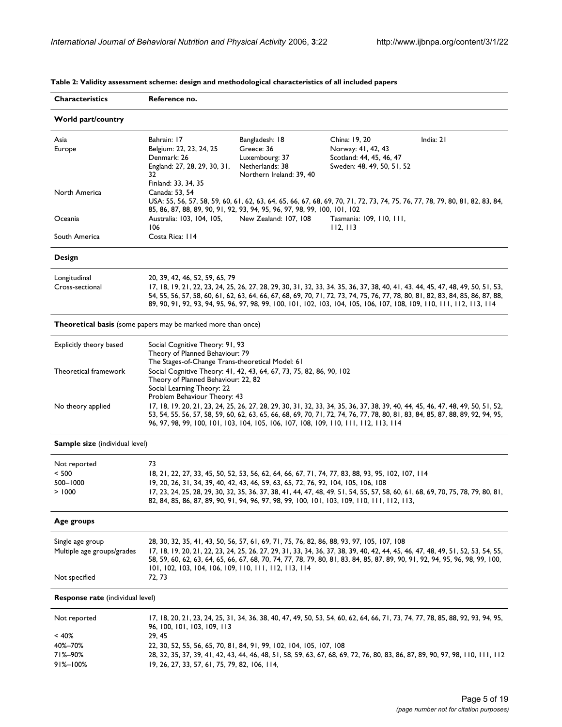| <b>Characteristics</b>                         | Reference no.                                                                                                                                                                                                                                                                                |                                                                                               |                                                                                               |                                                                                                                                                                                                                                                                    |
|------------------------------------------------|----------------------------------------------------------------------------------------------------------------------------------------------------------------------------------------------------------------------------------------------------------------------------------------------|-----------------------------------------------------------------------------------------------|-----------------------------------------------------------------------------------------------|--------------------------------------------------------------------------------------------------------------------------------------------------------------------------------------------------------------------------------------------------------------------|
| World part/country                             |                                                                                                                                                                                                                                                                                              |                                                                                               |                                                                                               |                                                                                                                                                                                                                                                                    |
| Asia<br>Europe                                 | Bahrain: 17<br>Belgium: 22, 23, 24, 25<br>Denmark: 26<br>England: 27, 28, 29, 30, 31,<br>32<br>Finland: 33, 34, 35                                                                                                                                                                           | Bangladesh: 18<br>Greece: 36<br>Luxembourg: 37<br>Netherlands: 38<br>Northern Ireland: 39, 40 | China: 19, 20<br>Norway: 41, 42, 43<br>Scotland: 44, 45, 46, 47<br>Sweden: 48, 49, 50, 51, 52 | India: 21                                                                                                                                                                                                                                                          |
| North America                                  | Canada: 53, 54<br>USA: 55, 56, 57, 58, 59, 60, 61, 62, 63, 64, 65, 66, 67, 68, 69, 70, 71, 72, 73, 74, 75, 76, 77, 78, 79, 80, 81, 82, 83, 84,<br>85, 86, 87, 88, 89, 90, 91, 92, 93, 94, 95, 96, 97, 98, 99, 100, 101, 102                                                                  |                                                                                               |                                                                                               |                                                                                                                                                                                                                                                                    |
| Oceania                                        | Australia: 103, 104, 105,<br>106                                                                                                                                                                                                                                                             | New Zealand: 107, 108                                                                         | Tasmania: 109, 110, 111,<br>112, 113                                                          |                                                                                                                                                                                                                                                                    |
| South America                                  | Costa Rica: 114                                                                                                                                                                                                                                                                              |                                                                                               |                                                                                               |                                                                                                                                                                                                                                                                    |
| Design                                         |                                                                                                                                                                                                                                                                                              |                                                                                               |                                                                                               |                                                                                                                                                                                                                                                                    |
| Longitudinal<br>Cross-sectional                | 20, 39, 42, 46, 52, 59, 65, 79<br>89, 90, 91, 92, 93, 94, 95, 96, 97, 98, 99, 100, 101, 102, 103, 104, 105, 106, 107, 108, 109, 110, 111, 112, 113, 114                                                                                                                                      |                                                                                               |                                                                                               | 17, 18, 19, 21, 22, 23, 24, 25, 26, 27, 28, 29, 30, 31, 32, 33, 34, 35, 36, 37, 38, 40, 41, 43, 44, 45, 47, 48, 49, 50, 51, 53,<br>54, 55, 56, 57, 58, 60, 61, 62, 63, 64, 66, 67, 68, 69, 70, 71, 72, 73, 74, 75, 76, 77, 78, 80, 81, 82, 83, 84, 85, 86, 87, 88, |
|                                                | Theoretical basis (some papers may be marked more than once)                                                                                                                                                                                                                                 |                                                                                               |                                                                                               |                                                                                                                                                                                                                                                                    |
| Explicitly theory based                        | Social Cognitive Theory: 91, 93<br>Theory of Planned Behaviour: 79<br>The Stages-of-Change Trans-theoretical Model: 61                                                                                                                                                                       |                                                                                               |                                                                                               |                                                                                                                                                                                                                                                                    |
| Theoretical framework                          | Social Cognitive Theory: 41, 42, 43, 64, 67, 73, 75, 82, 86, 90, 102<br>Theory of Planned Behaviour: 22, 82<br>Social Learning Theory: 22<br>Problem Behaviour Theory: 43                                                                                                                    |                                                                                               |                                                                                               |                                                                                                                                                                                                                                                                    |
| No theory applied                              | 96, 97, 98, 99, 100, 101, 103, 104, 105, 106, 107, 108, 109, 110, 111, 112, 113, 114                                                                                                                                                                                                         |                                                                                               |                                                                                               | 17, 18, 19, 20, 21, 23, 24, 25, 26, 27, 28, 29, 30, 31, 32, 33, 34, 35, 36, 37, 38, 39, 40, 44, 45, 46, 47, 48, 49, 50, 51, 52,<br>53, 54, 55, 56, 57, 58, 59, 60, 62, 63, 65, 66, 68, 69, 70, 71, 72, 74, 76, 77, 78, 80, 81, 83, 84, 85, 87, 88, 89, 92, 94, 95, |
| Sample size (individual level)                 |                                                                                                                                                                                                                                                                                              |                                                                                               |                                                                                               |                                                                                                                                                                                                                                                                    |
| Not reported<br>< 500<br>500-1000<br>> 1000    | 73<br>18, 21, 22, 27, 33, 45, 50, 52, 53, 56, 62, 64, 66, 67, 71, 74, 77, 83, 88, 93, 95, 102, 107, 114<br>19, 20, 26, 31, 34, 39, 40, 42, 43, 46, 59, 63, 65, 72, 76, 92, 104, 105, 106, 108<br>82, 84, 85, 86, 87, 89, 90, 91, 94, 96, 97, 98, 99, 100, 101, 103, 109, 110, 111, 112, 113, |                                                                                               |                                                                                               | 17, 23, 24, 25, 28, 29, 30, 32, 35, 36, 37, 38, 41, 44, 47, 48, 49, 51, 54, 55, 57, 58, 60, 61, 68, 69, 70, 75, 78, 79, 80, 81,                                                                                                                                    |
| Age groups                                     |                                                                                                                                                                                                                                                                                              |                                                                                               |                                                                                               |                                                                                                                                                                                                                                                                    |
| Single age group<br>Multiple age groups/grades | 28, 30, 32, 35, 41, 43, 50, 56, 57, 61, 69, 71, 75, 76, 82, 86, 88, 93, 97, 105, 107, 108<br>101, 102, 103, 104, 106, 109, 110, 111, 112, 113, 114                                                                                                                                           |                                                                                               |                                                                                               | 17, 18, 19, 20, 21, 22, 23, 24, 25, 26, 27, 29, 31, 33, 34, 36, 37, 38, 39, 40, 42, 44, 45, 46, 47, 48, 49, 51, 52, 53, 54, 55,<br>58, 59, 60, 62, 63, 64, 65, 66, 67, 68, 70, 74, 77, 78, 79, 80, 81, 83, 84, 85, 87, 89, 90, 91, 92, 94, 95, 96, 98, 99, 100,    |
| Not specified                                  | 72, 73                                                                                                                                                                                                                                                                                       |                                                                                               |                                                                                               |                                                                                                                                                                                                                                                                    |
| Response rate (individual level)               |                                                                                                                                                                                                                                                                                              |                                                                                               |                                                                                               |                                                                                                                                                                                                                                                                    |
| Not reported                                   | 96, 100, 101, 103, 109, 113                                                                                                                                                                                                                                                                  |                                                                                               |                                                                                               | 17, 18, 20, 21, 23, 24, 25, 31, 34, 36, 38, 40, 47, 49, 50, 53, 54, 60, 62, 64, 66, 71, 73, 74, 77, 78, 85, 88, 92, 93, 94, 95,                                                                                                                                    |
| < 40%<br>40%-70%<br>71%-90%<br>91%-100%        | 29, 45<br>22, 30, 52, 55, 56, 65, 70, 81, 84, 91, 99, 102, 104, 105, 107, 108<br>19, 26, 27, 33, 57, 61, 75, 79, 82, 106, 114,                                                                                                                                                               |                                                                                               |                                                                                               | 28, 32, 35, 37, 39, 41, 42, 43, 44, 46, 48, 51, 58, 59, 63, 67, 68, 69, 72, 76, 80, 83, 86, 87, 89, 90, 97, 98, 110, 111, 112                                                                                                                                      |

#### **Table 2: Validity assessment scheme: design and methodological characteristics of all included papers**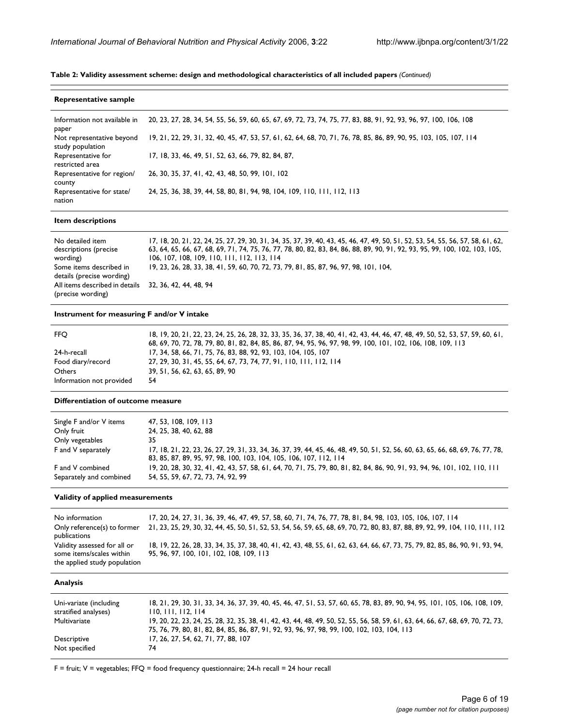## **Table 2: Validity assessment scheme: design and methodological characteristics of all included papers** *(Continued)*

| Representative sample                         |                                                                                                                    |
|-----------------------------------------------|--------------------------------------------------------------------------------------------------------------------|
| Information not available in<br>paper         | 20, 23, 27, 28, 34, 54, 55, 56, 59, 60, 65, 67, 69, 72, 73, 74, 75, 77, 83, 88, 91, 92, 93, 96, 97, 100, 106, 108  |
| Not representative beyond<br>study population | 19, 21, 22, 29, 31, 32, 40, 45, 47, 53, 57, 61, 62, 64, 68, 70, 71, 76, 78, 85, 86, 89, 90, 95, 103, 105, 107, 114 |
| Representative for<br>restricted area         | 17, 18, 33, 46, 49, 51, 52, 63, 66, 79, 82, 84, 87,                                                                |
| Representative for region/<br>county          | 26, 30, 35, 37, 41, 42, 43, 48, 50, 99, 101, 102                                                                   |
| Representative for state/<br>nation           | 24, 25, 36, 38, 39, 44, 58, 80, 81, 94, 98, 104, 109, 110, 111, 112, 113                                           |

#### **Item descriptions**

| No detailed item                                      | 17, 18, 20, 21, 22, 24, 25, 27, 29, 30, 31, 34, 35, 37, 39, 40, 43, 45, 46, 47, 49, 50, 51, 52, 53, 54, 55, 56, 57, 58, 61, 62, |
|-------------------------------------------------------|---------------------------------------------------------------------------------------------------------------------------------|
| descriptions (precise                                 | 63, 64, 65, 66, 67, 68, 69, 71, 74, 75, 76, 77, 78, 80, 82, 83, 84, 86, 88, 89, 90, 91, 92, 93, 95, 99, 100, 102, 103, 105,     |
| wording)                                              | 106, 107, 108, 109, 110, 111, 112, 113, 114                                                                                     |
| Some items described in                               | 19, 23, 26, 28, 33, 38, 41, 59, 60, 70, 72, 73, 79, 81, 85, 87, 96, 97, 98, 101, 104,                                           |
| details (precise wording)                             |                                                                                                                                 |
| All items described in details 32, 36, 42, 44, 48, 94 |                                                                                                                                 |
| (precise wording)                                     |                                                                                                                                 |

#### **Instrument for measuring F and/or V intake**

| FFO                      | 18, 19, 20, 21, 22, 23, 24, 25, 26, 28, 32, 33, 35, 36, 37, 38, 40, 41, 42, 43, 44, 46, 47, 48, 49, 50, 52, 53, 57, 59, 60, 61,<br>68, 69, 70, 72, 78, 79, 80, 81, 82, 84, 85, 86, 87, 94, 95, 96, 97, 98, 99, 100, 101, 102, 106, 108, 109, 113 |
|--------------------------|--------------------------------------------------------------------------------------------------------------------------------------------------------------------------------------------------------------------------------------------------|
| 24-h-recall              | 17, 34, 58, 66, 71, 75, 76, 83, 88, 92, 93, 103, 104, 105, 107                                                                                                                                                                                   |
| Food diary/record        | 27, 29, 30, 31, 45, 55, 64, 67, 73, 74, 77, 91, 110, 111, 112, 114                                                                                                                                                                               |
| <b>Others</b>            | 39, 51, 56, 62, 63, 65, 89, 90                                                                                                                                                                                                                   |
| Information not provided | 54                                                                                                                                                                                                                                               |

### **Differentiation of outcome measure**

| Single F and/or V items | 47, 53, 108, 109, 113                                                                                                                                                                                 |
|-------------------------|-------------------------------------------------------------------------------------------------------------------------------------------------------------------------------------------------------|
| Only fruit              | 24, 25, 38, 40, 62, 88                                                                                                                                                                                |
| Only vegetables         | 35                                                                                                                                                                                                    |
| F and V separately      | 17, 18, 21, 22, 23, 26, 27, 29, 31, 33, 34, 36, 37, 39, 44, 45, 46, 48, 49, 50, 51, 52, 56, 60, 63, 65, 66, 68, 69, 76, 77, 78,<br>83, 85, 87, 89, 95, 97, 98, 100, 103, 104, 105, 106, 107, 112, 114 |
| F and V combined        | 19, 20, 28, 30, 32, 41, 42, 43, 57, 58, 61, 64, 70, 71, 75, 79, 80, 81, 82, 84, 86, 90, 91, 93, 94, 96, 101, 102, 110, 111                                                                            |
| Separately and combined | 54, 55, 59, 67, 72, 73, 74, 92, 99                                                                                                                                                                    |

#### **Validity of applied measurements**

#### **Analysis**

| Uni-variate (including<br>stratified analyses) | 18, 21, 29, 30, 31, 33, 34, 36, 37, 39, 40, 45, 46, 47, 51, 53, 57, 60, 65, 78, 83, 89, 90, 94, 95, 101, 105, 106, 108, 109,<br>110.111.112.114                                                                                |
|------------------------------------------------|--------------------------------------------------------------------------------------------------------------------------------------------------------------------------------------------------------------------------------|
| Multivariate                                   | 19, 20, 22, 23, 24, 25, 28, 32, 35, 38, 41, 42, 43, 44, 48, 49, 50, 52, 55, 56, 58, 59, 61, 63, 64, 66, 67, 68, 69, 70, 72, 73,<br>75, 76, 79, 80, 81, 82, 84, 85, 86, 87, 91, 92, 93, 96, 97, 98, 99, 100, 102, 103, 104, 113 |
| Descriptive                                    | 17, 26, 27, 54, 62, 71, 77, 88, 107                                                                                                                                                                                            |
| Not specified                                  | 74                                                                                                                                                                                                                             |

F = fruit; V = vegetables; FFQ = food frequency questionnaire; 24-h recall = 24 hour recall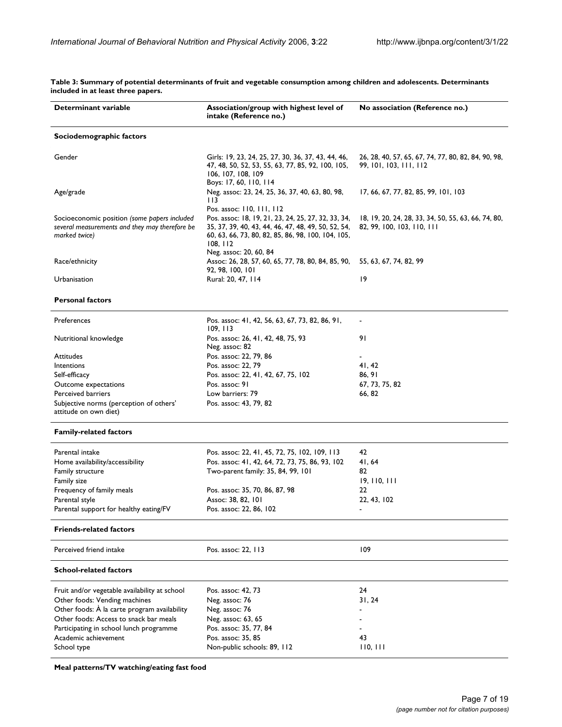**Table 3: Summary of potential determinants of fruit and vegetable consumption among children and adolescents. Determinants included in at least three papers.**

| Determinant variable                                                                                            | Association/group with highest level of<br>intake (Reference no.)                                                                                                                                                                   | No association (Reference no.)                                                    |
|-----------------------------------------------------------------------------------------------------------------|-------------------------------------------------------------------------------------------------------------------------------------------------------------------------------------------------------------------------------------|-----------------------------------------------------------------------------------|
| Sociodemographic factors                                                                                        |                                                                                                                                                                                                                                     |                                                                                   |
| Gender                                                                                                          | Girls: 19, 23, 24, 25, 27, 30, 36, 37, 43, 44, 46,<br>47, 48, 50, 52, 53, 55, 63, 77, 85, 92, 100, 105,<br>106, 107, 108, 109<br>Boys: 17, 60, 110, 114                                                                             | 26, 28, 40, 57, 65, 67, 74, 77, 80, 82, 84, 90, 98,<br>99, 101, 103, 111, 112     |
| Age/grade                                                                                                       | Neg. assoc: 23, 24, 25, 36, 37, 40, 63, 80, 98,<br>113                                                                                                                                                                              | 17, 66, 67, 77, 82, 85, 99, 101, 103                                              |
| Socioeconomic position (some papers included<br>several measurements and they may therefore be<br>marked twice) | Pos. assoc: 110, 111, 112<br>Pos. assoc: 18, 19, 21, 23, 24, 25, 27, 32, 33, 34,<br>35, 37, 39, 40, 43, 44, 46, 47, 48, 49, 50, 52, 54,<br>60, 63, 66, 73, 80, 82, 85, 86, 98, 100, 104, 105,<br>108, 112<br>Neg. assoc: 20, 60, 84 | 18, 19, 20, 24, 28, 33, 34, 50, 55, 63, 66, 74, 80,<br>82, 99, 100, 103, 110, 111 |
| Race/ethnicity                                                                                                  | Assoc: 26, 28, 57, 60, 65, 77, 78, 80, 84, 85, 90,<br>92, 98, 100, 101                                                                                                                                                              | 55, 63, 67, 74, 82, 99                                                            |
| Urbanisation                                                                                                    | Rural: 20, 47, 114                                                                                                                                                                                                                  | 19                                                                                |
| <b>Personal factors</b>                                                                                         |                                                                                                                                                                                                                                     |                                                                                   |
| Preferences                                                                                                     | Pos. assoc: 41, 42, 56, 63, 67, 73, 82, 86, 91,<br>109, 113                                                                                                                                                                         |                                                                                   |
| Nutritional knowledge                                                                                           | Pos. assoc: 26, 41, 42, 48, 75, 93<br>Neg. assoc: 82                                                                                                                                                                                | 91                                                                                |
| <b>Attitudes</b>                                                                                                | Pos. assoc: 22, 79, 86                                                                                                                                                                                                              |                                                                                   |
| Intentions                                                                                                      | Pos. assoc: 22, 79                                                                                                                                                                                                                  | 41, 42                                                                            |
| Self-efficacy                                                                                                   | Pos. assoc: 22, 41, 42, 67, 75, 102                                                                                                                                                                                                 | 86, 91                                                                            |
| Outcome expectations                                                                                            | Pos. assoc: 91                                                                                                                                                                                                                      | 67, 73, 75, 82                                                                    |
| Perceived barriers                                                                                              | Low barriers: 79                                                                                                                                                                                                                    | 66, 82                                                                            |
| Subjective norms (perception of others'<br>attitude on own diet)                                                | Pos. assoc: 43, 79, 82                                                                                                                                                                                                              |                                                                                   |
| <b>Family-related factors</b>                                                                                   |                                                                                                                                                                                                                                     |                                                                                   |
| Parental intake                                                                                                 | Pos. assoc: 22, 41, 45, 72, 75, 102, 109, 113                                                                                                                                                                                       | 42                                                                                |
| Home availability/accessibility                                                                                 | Pos. assoc: 41, 42, 64, 72, 73, 75, 86, 93, 102                                                                                                                                                                                     | 41, 64                                                                            |
| Family structure                                                                                                | Two-parent family: 35, 84, 99, 101                                                                                                                                                                                                  | 82                                                                                |
| Family size                                                                                                     |                                                                                                                                                                                                                                     | 19, 110, 111                                                                      |
| Frequency of family meals                                                                                       | Pos. assoc: 35, 70, 86, 87, 98                                                                                                                                                                                                      | 22                                                                                |
|                                                                                                                 | Assoc: 38, 82, 101                                                                                                                                                                                                                  |                                                                                   |
| Parental style<br>Parental support for healthy eating/FV                                                        | Pos. assoc: 22, 86, 102                                                                                                                                                                                                             | 22, 43, 102                                                                       |
| <b>Friends-related factors</b>                                                                                  |                                                                                                                                                                                                                                     |                                                                                   |
| Perceived friend intake                                                                                         | Pos. assoc: 22, 113                                                                                                                                                                                                                 | 109                                                                               |
| <b>School-related factors</b>                                                                                   |                                                                                                                                                                                                                                     |                                                                                   |
| Fruit and/or vegetable availability at school                                                                   | Pos. assoc: 42, 73                                                                                                                                                                                                                  | 24                                                                                |
| Other foods: Vending machines                                                                                   |                                                                                                                                                                                                                                     |                                                                                   |
|                                                                                                                 | Neg. assoc: 76                                                                                                                                                                                                                      | 31, 24                                                                            |
| Other foods: À la carte program availability<br>Other foods: Access to snack bar meals                          | Neg. assoc: 76                                                                                                                                                                                                                      |                                                                                   |
|                                                                                                                 | Neg. assoc: 63, 65                                                                                                                                                                                                                  |                                                                                   |
| Participating in school lunch programme                                                                         | Pos. assoc: 35, 77, 84                                                                                                                                                                                                              |                                                                                   |
| Academic achievement                                                                                            | Pos. assoc: 35, 85                                                                                                                                                                                                                  | 43                                                                                |
| School type                                                                                                     | Non-public schools: 89, 112                                                                                                                                                                                                         | 110, 111                                                                          |

**Meal patterns/TV watching/eating fast food**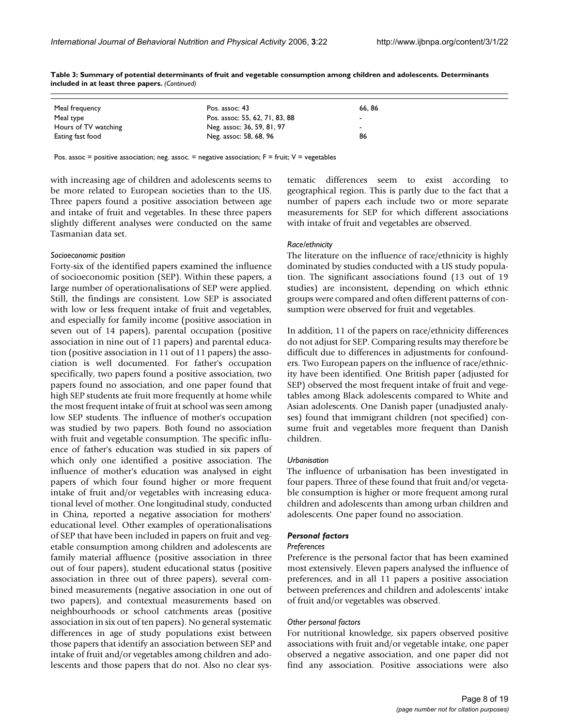| Meal frequency       | Pos. assoc: 43                 | 66, 86                   |  |
|----------------------|--------------------------------|--------------------------|--|
| Meal type            | Pos. assoc: 55, 62, 71, 83, 88 | -                        |  |
| Hours of TV watching | Neg. assoc: 36, 59, 81, 97     | $\overline{\phantom{0}}$ |  |
| Eating fast food     | Neg. assoc: 58, 68, 96         | 86                       |  |
|                      |                                |                          |  |

**Table 3: Summary of potential determinants of fruit and vegetable consumption among children and adolescents. Determinants included in at least three papers.** *(Continued)*

Pos. assoc = positive association; neg. assoc. = negative association;  $F =$  fruit;  $V =$  vegetables

with increasing age of children and adolescents seems to be more related to European societies than to the US. Three papers found a positive association between age and intake of fruit and vegetables. In these three papers slightly different analyses were conducted on the same Tasmanian data set.

#### *Socioeconomic position*

Forty-six of the identified papers examined the influence of socioeconomic position (SEP). Within these papers, a large number of operationalisations of SEP were applied. Still, the findings are consistent. Low SEP is associated with low or less frequent intake of fruit and vegetables, and especially for family income (positive association in seven out of 14 papers), parental occupation (positive association in nine out of 11 papers) and parental education (positive association in 11 out of 11 papers) the association is well documented. For father's occupation specifically, two papers found a positive association, two papers found no association, and one paper found that high SEP students ate fruit more frequently at home while the most frequent intake of fruit at school was seen among low SEP students. The influence of mother's occupation was studied by two papers. Both found no association with fruit and vegetable consumption. The specific influence of father's education was studied in six papers of which only one identified a positive association. The influence of mother's education was analysed in eight papers of which four found higher or more frequent intake of fruit and/or vegetables with increasing educational level of mother. One longitudinal study, conducted in China, reported a negative association for mothers' educational level. Other examples of operationalisations of SEP that have been included in papers on fruit and vegetable consumption among children and adolescents are family material affluence (positive association in three out of four papers), student educational status (positive association in three out of three papers), several combined measurements (negative association in one out of two papers), and contextual measurements based on neighbourhoods or school catchments areas (positive association in six out of ten papers). No general systematic differences in age of study populations exist between those papers that identify an association between SEP and intake of fruit and/or vegetables among children and adolescents and those papers that do not. Also no clear systematic differences seem to exist according to geographical region. This is partly due to the fact that a number of papers each include two or more separate measurements for SEP for which different associations with intake of fruit and vegetables are observed.

#### *Race/ethnicity*

The literature on the influence of race/ethnicity is highly dominated by studies conducted with a US study population. The significant associations found (13 out of 19 studies) are inconsistent, depending on which ethnic groups were compared and often different patterns of consumption were observed for fruit and vegetables.

In addition, 11 of the papers on race/ethnicity differences do not adjust for SEP. Comparing results may therefore be difficult due to differences in adjustments for confounders. Two European papers on the influence of race/ethnicity have been identified. One British paper (adjusted for SEP) observed the most frequent intake of fruit and vegetables among Black adolescents compared to White and Asian adolescents. One Danish paper (unadjusted analyses) found that immigrant children (not specified) consume fruit and vegetables more frequent than Danish children.

#### *Urbanisation*

The influence of urbanisation has been investigated in four papers. Three of these found that fruit and/or vegetable consumption is higher or more frequent among rural children and adolescents than among urban children and adolescents. One paper found no association.

### *Personal factors*

#### *Preferences*

Preference is the personal factor that has been examined most extensively. Eleven papers analysed the influence of preferences, and in all 11 papers a positive association between preferences and children and adolescents' intake of fruit and/or vegetables was observed.

#### *Other personal factors*

For nutritional knowledge, six papers observed positive associations with fruit and/or vegetable intake, one paper observed a negative association, and one paper did not find any association. Positive associations were also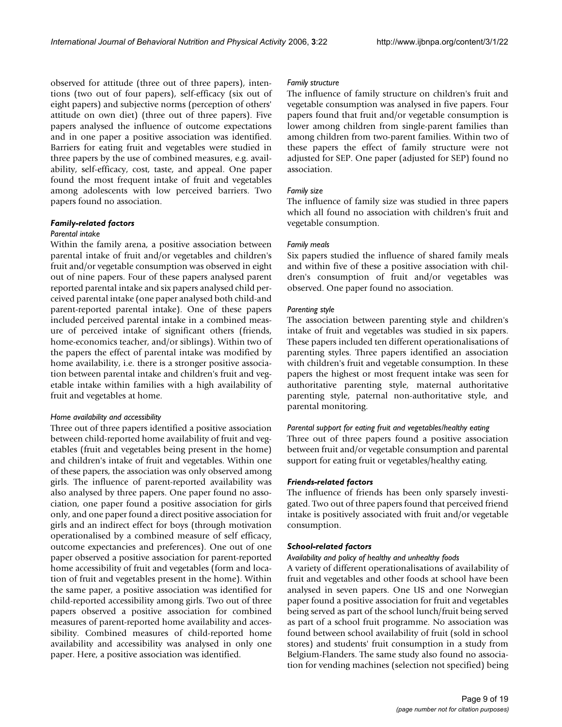observed for attitude (three out of three papers), intentions (two out of four papers), self-efficacy (six out of eight papers) and subjective norms (perception of others' attitude on own diet) (three out of three papers). Five papers analysed the influence of outcome expectations and in one paper a positive association was identified. Barriers for eating fruit and vegetables were studied in three papers by the use of combined measures, e.g. availability, self-efficacy, cost, taste, and appeal. One paper found the most frequent intake of fruit and vegetables among adolescents with low perceived barriers. Two papers found no association.

#### *Family-related factors*

#### *Parental intake*

Within the family arena, a positive association between parental intake of fruit and/or vegetables and children's fruit and/or vegetable consumption was observed in eight out of nine papers. Four of these papers analysed parent reported parental intake and six papers analysed child perceived parental intake (one paper analysed both child-and parent-reported parental intake). One of these papers included perceived parental intake in a combined measure of perceived intake of significant others (friends, home-economics teacher, and/or siblings). Within two of the papers the effect of parental intake was modified by home availability, i.e. there is a stronger positive association between parental intake and children's fruit and vegetable intake within families with a high availability of fruit and vegetables at home.

#### *Home availability and accessibility*

Three out of three papers identified a positive association between child-reported home availability of fruit and vegetables (fruit and vegetables being present in the home) and children's intake of fruit and vegetables. Within one of these papers, the association was only observed among girls. The influence of parent-reported availability was also analysed by three papers. One paper found no association, one paper found a positive association for girls only, and one paper found a direct positive association for girls and an indirect effect for boys (through motivation operationalised by a combined measure of self efficacy, outcome expectancies and preferences). One out of one paper observed a positive association for parent-reported home accessibility of fruit and vegetables (form and location of fruit and vegetables present in the home). Within the same paper, a positive association was identified for child-reported accessibility among girls. Two out of three papers observed a positive association for combined measures of parent-reported home availability and accessibility. Combined measures of child-reported home availability and accessibility was analysed in only one paper. Here, a positive association was identified.

#### *Family structure*

The influence of family structure on children's fruit and vegetable consumption was analysed in five papers. Four papers found that fruit and/or vegetable consumption is lower among children from single-parent families than among children from two-parent families. Within two of these papers the effect of family structure were not adjusted for SEP. One paper (adjusted for SEP) found no association.

## *Family size*

The influence of family size was studied in three papers which all found no association with children's fruit and vegetable consumption.

## *Family meals*

Six papers studied the influence of shared family meals and within five of these a positive association with children's consumption of fruit and/or vegetables was observed. One paper found no association.

#### *Parenting style*

The association between parenting style and children's intake of fruit and vegetables was studied in six papers. These papers included ten different operationalisations of parenting styles. Three papers identified an association with children's fruit and vegetable consumption. In these papers the highest or most frequent intake was seen for authoritative parenting style, maternal authoritative parenting style, paternal non-authoritative style, and parental monitoring.

#### *Parental support for eating fruit and vegetables/healthy eating*

Three out of three papers found a positive association between fruit and/or vegetable consumption and parental support for eating fruit or vegetables/healthy eating.

#### *Friends-related factors*

The influence of friends has been only sparsely investigated. Two out of three papers found that perceived friend intake is positively associated with fruit and/or vegetable consumption.

#### *School-related factors*

#### *Availability and policy of healthy and unhealthy foods*

A variety of different operationalisations of availability of fruit and vegetables and other foods at school have been analysed in seven papers. One US and one Norwegian paper found a positive association for fruit and vegetables being served as part of the school lunch/fruit being served as part of a school fruit programme. No association was found between school availability of fruit (sold in school stores) and students' fruit consumption in a study from Belgium-Flanders. The same study also found no association for vending machines (selection not specified) being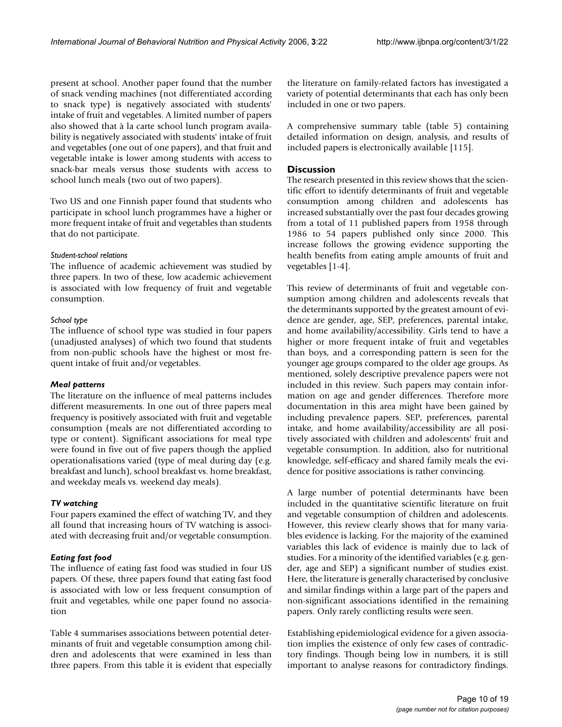present at school. Another paper found that the number of snack vending machines (not differentiated according to snack type) is negatively associated with students' intake of fruit and vegetables. A limited number of papers also showed that à la carte school lunch program availability is negatively associated with students' intake of fruit and vegetables (one out of one papers), and that fruit and vegetable intake is lower among students with access to snack-bar meals versus those students with access to school lunch meals (two out of two papers).

Two US and one Finnish paper found that students who participate in school lunch programmes have a higher or more frequent intake of fruit and vegetables than students that do not participate.

# *Student-school relations*

The influence of academic achievement was studied by three papers. In two of these, low academic achievement is associated with low frequency of fruit and vegetable consumption.

# *School type*

The influence of school type was studied in four papers (unadjusted analyses) of which two found that students from non-public schools have the highest or most frequent intake of fruit and/or vegetables.

# *Meal patterns*

The literature on the influence of meal patterns includes different measurements. In one out of three papers meal frequency is positively associated with fruit and vegetable consumption (meals are not differentiated according to type or content). Significant associations for meal type were found in five out of five papers though the applied operationalisations varied (type of meal during day (e.g. breakfast and lunch), school breakfast vs. home breakfast, and weekday meals vs. weekend day meals).

# *TV watching*

Four papers examined the effect of watching TV, and they all found that increasing hours of TV watching is associated with decreasing fruit and/or vegetable consumption.

# *Eating fast food*

The influence of eating fast food was studied in four US papers. Of these, three papers found that eating fast food is associated with low or less frequent consumption of fruit and vegetables, while one paper found no association

Table 4 summarises associations between potential determinants of fruit and vegetable consumption among children and adolescents that were examined in less than three papers. From this table it is evident that especially the literature on family-related factors has investigated a variety of potential determinants that each has only been included in one or two papers.

A comprehensive summary table (table 5) containing detailed information on design, analysis, and results of included papers is electronically available [115].

# **Discussion**

The research presented in this review shows that the scientific effort to identify determinants of fruit and vegetable consumption among children and adolescents has increased substantially over the past four decades growing from a total of 11 published papers from 1958 through 1986 to 54 papers published only since 2000. This increase follows the growing evidence supporting the health benefits from eating ample amounts of fruit and vegetables [1-4].

This review of determinants of fruit and vegetable consumption among children and adolescents reveals that the determinants supported by the greatest amount of evidence are gender, age, SEP, preferences, parental intake, and home availability/accessibility. Girls tend to have a higher or more frequent intake of fruit and vegetables than boys, and a corresponding pattern is seen for the younger age groups compared to the older age groups. As mentioned, solely descriptive prevalence papers were not included in this review. Such papers may contain information on age and gender differences. Therefore more documentation in this area might have been gained by including prevalence papers. SEP, preferences, parental intake, and home availability/accessibility are all positively associated with children and adolescents' fruit and vegetable consumption. In addition, also for nutritional knowledge, self-efficacy and shared family meals the evidence for positive associations is rather convincing.

A large number of potential determinants have been included in the quantitative scientific literature on fruit and vegetable consumption of children and adolescents. However, this review clearly shows that for many variables evidence is lacking. For the majority of the examined variables this lack of evidence is mainly due to lack of studies. For a minority of the identified variables (e.g. gender, age and SEP) a significant number of studies exist. Here, the literature is generally characterised by conclusive and similar findings within a large part of the papers and non-significant associations identified in the remaining papers. Only rarely conflicting results were seen.

Establishing epidemiological evidence for a given association implies the existence of only few cases of contradictory findings. Though being low in numbers, it is still important to analyse reasons for contradictory findings.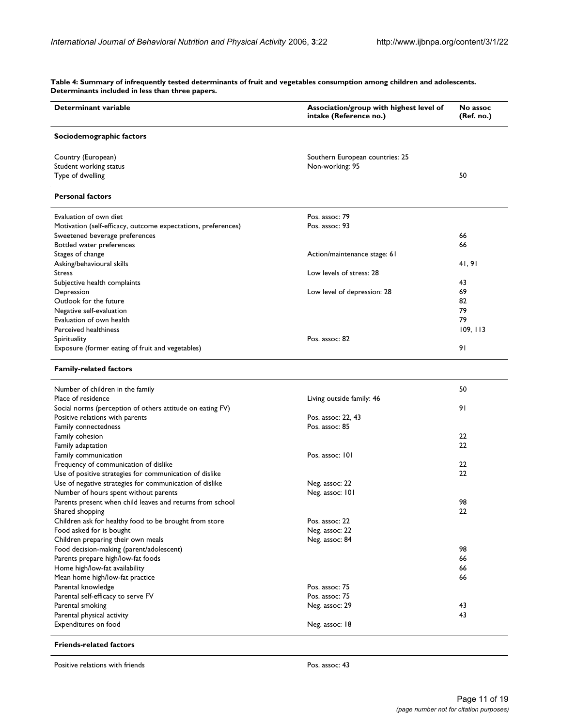**Table 4: Summary of infrequently tested determinants of fruit and vegetables consumption among children and adolescents. Determinants included in less than three papers.**

| Determinant variable                                          | Association/group with highest level of<br>intake (Reference no.) | No assoc<br>(Ref. no.) |
|---------------------------------------------------------------|-------------------------------------------------------------------|------------------------|
| Sociodemographic factors                                      |                                                                   |                        |
| Country (European)                                            | Southern European countries: 25                                   |                        |
| Student working status                                        | Non-working: 95                                                   |                        |
| Type of dwelling                                              |                                                                   | 50                     |
| <b>Personal factors</b>                                       |                                                                   |                        |
| Evaluation of own diet                                        | Pos. assoc: 79                                                    |                        |
| Motivation (self-efficacy, outcome expectations, preferences) | Pos. assoc: 93                                                    |                        |
| Sweetened beverage preferences                                |                                                                   | 66                     |
| Bottled water preferences                                     |                                                                   | 66                     |
| Stages of change                                              | Action/maintenance stage: 61                                      |                        |
| Asking/behavioural skills                                     |                                                                   | 41, 91                 |
| <b>Stress</b>                                                 | Low levels of stress: 28                                          |                        |
| Subjective health complaints                                  |                                                                   | 43                     |
| Depression                                                    | Low level of depression: 28                                       | 69                     |
| Outlook for the future                                        |                                                                   | 82                     |
| Negative self-evaluation                                      |                                                                   | 79                     |
| Evaluation of own health                                      |                                                                   | 79                     |
| Perceived healthiness                                         |                                                                   | 109, 113               |
| Spirituality                                                  | Pos. assoc: 82                                                    |                        |
| Exposure (former eating of fruit and vegetables)              |                                                                   | 91                     |
| <b>Family-related factors</b>                                 |                                                                   |                        |
| Number of children in the family                              |                                                                   | 50                     |
| Place of residence                                            | Living outside family: 46                                         |                        |
| Social norms (perception of others attitude on eating FV)     |                                                                   | 91                     |
| Positive relations with parents                               | Pos. assoc: 22, 43                                                |                        |
| Family connectedness                                          | Pos. assoc: 85                                                    |                        |
| Family cohesion                                               |                                                                   | 22                     |
| Family adaptation                                             |                                                                   | 22                     |
| Family communication                                          | Pos. assoc: 101                                                   |                        |
| Frequency of communication of dislike                         |                                                                   | 22                     |
| Use of positive strategies for communication of dislike       |                                                                   | 22                     |
| Use of negative strategies for communication of dislike       | Neg. assoc: 22                                                    |                        |
| Number of hours spent without parents                         | Neg. assoc: 101                                                   |                        |
| Parents present when child leaves and returns from school     |                                                                   | 98                     |
| Shared shopping                                               |                                                                   | 22                     |
| Children ask for healthy food to be brought from store        | Pos. assoc: 22                                                    |                        |
| Food asked for is bought                                      | Neg. assoc: 22                                                    |                        |
| Children preparing their own meals                            | Neg. assoc: 84                                                    |                        |
| Food decision-making (parent/adolescent)                      |                                                                   | 98                     |
| Parents prepare high/low-fat foods                            |                                                                   | 66                     |
| Home high/low-fat availability                                |                                                                   | 66                     |
| Mean home high/low-fat practice                               |                                                                   | 66                     |
| Parental knowledge                                            | Pos. assoc: 75                                                    |                        |
| Parental self-efficacy to serve FV                            | Pos. assoc: 75                                                    |                        |
| Parental smoking                                              | Neg. assoc: 29                                                    | 43                     |
| Parental physical activity                                    |                                                                   | 43                     |
| Expenditures on food                                          | Neg. assoc: 18                                                    |                        |

#### **Friends-related factors**

Positive relations with friends **Positive relations** with friends **Post** extends the Post assoc: 43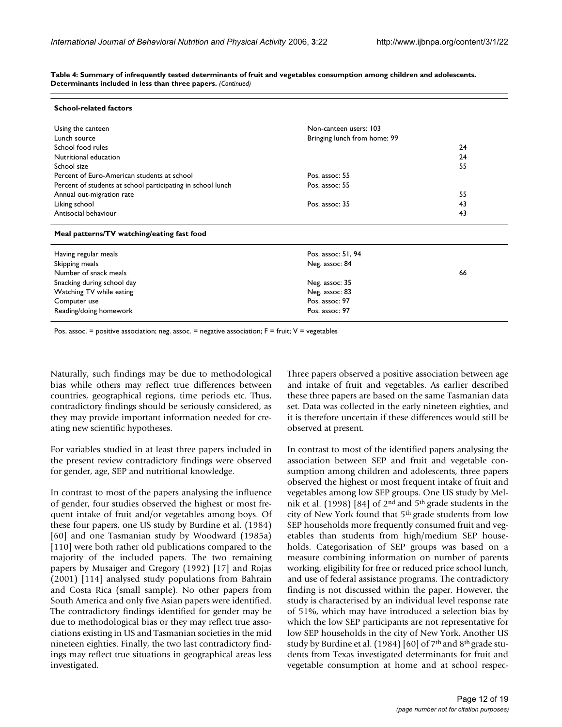**Table 4: Summary of infrequently tested determinants of fruit and vegetables consumption among children and adolescents. Determinants included in less than three papers.** *(Continued)*

| <b>School-related factors</b>                               |                              |    |
|-------------------------------------------------------------|------------------------------|----|
| Using the canteen                                           | Non-canteen users: 103       |    |
| Lunch source                                                | Bringing lunch from home: 99 |    |
| School food rules                                           |                              | 24 |
| Nutritional education                                       |                              | 24 |
| School size                                                 |                              | 55 |
| Percent of Euro-American students at school                 | Pos. assoc: 55               |    |
| Percent of students at school participating in school lunch | Pos. assoc: 55               |    |
| Annual out-migration rate                                   |                              | 55 |
| Liking school                                               | Pos. assoc: 35               | 43 |
| Antisocial behaviour                                        |                              | 43 |
| Meal patterns/TV watching/eating fast food                  |                              |    |
| Having regular meals                                        | Pos. assoc: 51, 94           |    |
| Skipping meals                                              | Neg. assoc: 84               |    |
| Number of snack meals                                       |                              | 66 |
| Snacking during school day                                  | Neg. assoc: 35               |    |
| Watching TV while eating                                    | Neg. assoc: 83               |    |
| Computer use                                                | Pos. assoc: 97               |    |
| Reading/doing homework                                      | Pos. assoc: 97               |    |

Pos. assoc.  $=$  positive association; neg. assoc.  $=$  negative association;  $F =$  fruit;  $V =$  vegetables

Naturally, such findings may be due to methodological bias while others may reflect true differences between countries, geographical regions, time periods etc. Thus, contradictory findings should be seriously considered, as they may provide important information needed for creating new scientific hypotheses.

For variables studied in at least three papers included in the present review contradictory findings were observed for gender, age, SEP and nutritional knowledge.

In contrast to most of the papers analysing the influence of gender, four studies observed the highest or most frequent intake of fruit and/or vegetables among boys. Of these four papers, one US study by Burdine et al. (1984) [60] and one Tasmanian study by Woodward (1985a) [110] were both rather old publications compared to the majority of the included papers. The two remaining papers by Musaiger and Gregory (1992) [17] and Rojas (2001) [114] analysed study populations from Bahrain and Costa Rica (small sample). No other papers from South America and only five Asian papers were identified. The contradictory findings identified for gender may be due to methodological bias or they may reflect true associations existing in US and Tasmanian societies in the mid nineteen eighties. Finally, the two last contradictory findings may reflect true situations in geographical areas less investigated.

Three papers observed a positive association between age and intake of fruit and vegetables. As earlier described these three papers are based on the same Tasmanian data set. Data was collected in the early nineteen eighties, and it is therefore uncertain if these differences would still be observed at present.

In contrast to most of the identified papers analysing the association between SEP and fruit and vegetable consumption among children and adolescents, three papers observed the highest or most frequent intake of fruit and vegetables among low SEP groups. One US study by Melnik et al. (1998) [84] of  $2<sup>nd</sup>$  and  $5<sup>th</sup>$  grade students in the city of New York found that 5th grade students from low SEP households more frequently consumed fruit and vegetables than students from high/medium SEP households. Categorisation of SEP groups was based on a measure combining information on number of parents working, eligibility for free or reduced price school lunch, and use of federal assistance programs. The contradictory finding is not discussed within the paper. However, the study is characterised by an individual level response rate of 51%, which may have introduced a selection bias by which the low SEP participants are not representative for low SEP households in the city of New York. Another US study by Burdine et al. (1984) [60] of  $7<sup>th</sup>$  and  $8<sup>th</sup>$  grade students from Texas investigated determinants for fruit and vegetable consumption at home and at school respec-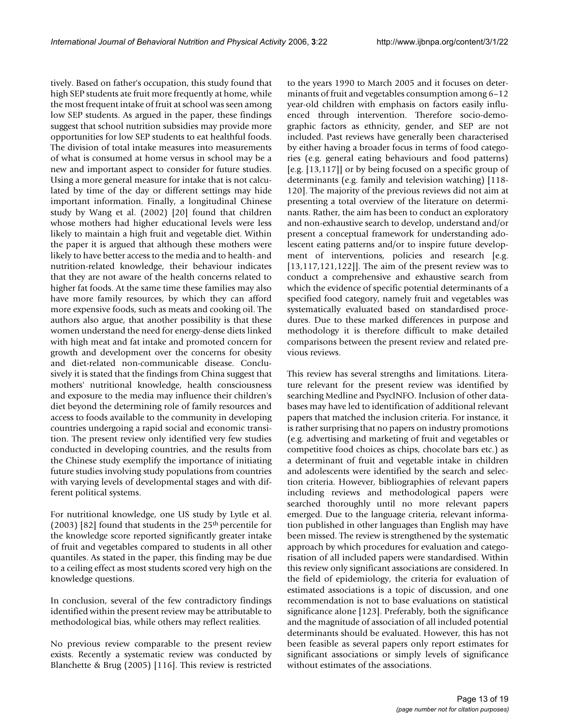tively. Based on father's occupation, this study found that high SEP students ate fruit more frequently at home, while the most frequent intake of fruit at school was seen among low SEP students. As argued in the paper, these findings suggest that school nutrition subsidies may provide more opportunities for low SEP students to eat healthful foods. The division of total intake measures into measurements of what is consumed at home versus in school may be a new and important aspect to consider for future studies. Using a more general measure for intake that is not calculated by time of the day or different settings may hide important information. Finally, a longitudinal Chinese study by Wang et al. (2002) [20] found that children whose mothers had higher educational levels were less likely to maintain a high fruit and vegetable diet. Within the paper it is argued that although these mothers were likely to have better access to the media and to health- and nutrition-related knowledge, their behaviour indicates that they are not aware of the health concerns related to higher fat foods. At the same time these families may also have more family resources, by which they can afford more expensive foods, such as meats and cooking oil. The authors also argue, that another possibility is that these women understand the need for energy-dense diets linked with high meat and fat intake and promoted concern for growth and development over the concerns for obesity and diet-related non-communicable disease. Conclusively it is stated that the findings from China suggest that mothers' nutritional knowledge, health consciousness and exposure to the media may influence their children's diet beyond the determining role of family resources and access to foods available to the community in developing countries undergoing a rapid social and economic transition. The present review only identified very few studies conducted in developing countries, and the results from the Chinese study exemplify the importance of initiating future studies involving study populations from countries with varying levels of developmental stages and with different political systems.

For nutritional knowledge, one US study by Lytle et al. (2003) [82] found that students in the  $25<sup>th</sup>$  percentile for the knowledge score reported significantly greater intake of fruit and vegetables compared to students in all other quantiles. As stated in the paper, this finding may be due to a ceiling effect as most students scored very high on the knowledge questions.

In conclusion, several of the few contradictory findings identified within the present review may be attributable to methodological bias, while others may reflect realities.

No previous review comparable to the present review exists. Recently a systematic review was conducted by Blanchette & Brug (2005) [116]. This review is restricted

to the years 1990 to March 2005 and it focuses on determinants of fruit and vegetables consumption among 6–12 year-old children with emphasis on factors easily influenced through intervention. Therefore socio-demographic factors as ethnicity, gender, and SEP are not included. Past reviews have generally been characterised by either having a broader focus in terms of food categories (e.g. general eating behaviours and food patterns) [e.g. [13,117]] or by being focused on a specific group of determinants (e.g. family and television watching) [118- 120]. The majority of the previous reviews did not aim at presenting a total overview of the literature on determinants. Rather, the aim has been to conduct an exploratory and non-exhaustive search to develop, understand and/or present a conceptual framework for understanding adolescent eating patterns and/or to inspire future development of interventions, policies and research [e.g. [13,117,121,122]]. The aim of the present review was to conduct a comprehensive and exhaustive search from which the evidence of specific potential determinants of a specified food category, namely fruit and vegetables was systematically evaluated based on standardised procedures. Due to these marked differences in purpose and methodology it is therefore difficult to make detailed comparisons between the present review and related previous reviews.

This review has several strengths and limitations. Literature relevant for the present review was identified by searching Medline and PsycINFO. Inclusion of other databases may have led to identification of additional relevant papers that matched the inclusion criteria. For instance, it is rather surprising that no papers on industry promotions (e.g. advertising and marketing of fruit and vegetables or competitive food choices as chips, chocolate bars etc.) as a determinant of fruit and vegetable intake in children and adolescents were identified by the search and selection criteria. However, bibliographies of relevant papers including reviews and methodological papers were searched thoroughly until no more relevant papers emerged. Due to the language criteria, relevant information published in other languages than English may have been missed. The review is strengthened by the systematic approach by which procedures for evaluation and categorisation of all included papers were standardised. Within this review only significant associations are considered. In the field of epidemiology, the criteria for evaluation of estimated associations is a topic of discussion, and one recommendation is not to base evaluations on statistical significance alone [123]. Preferably, both the significance and the magnitude of association of all included potential determinants should be evaluated. However, this has not been feasible as several papers only report estimates for significant associations or simply levels of significance without estimates of the associations.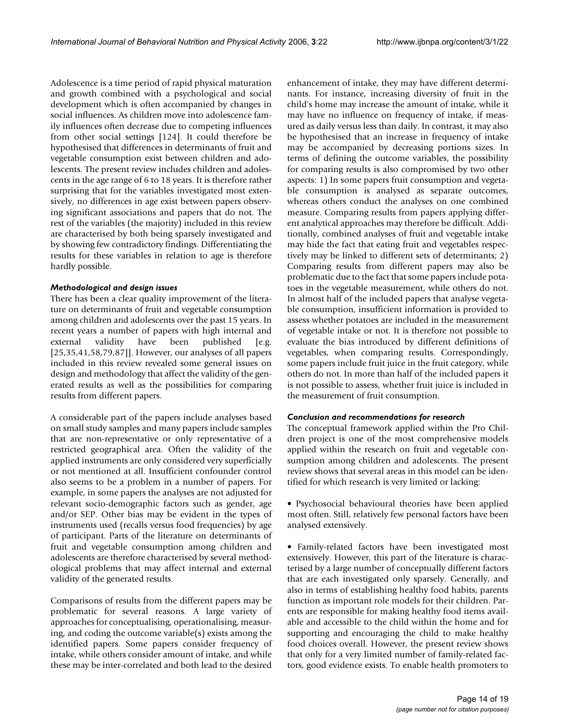Adolescence is a time period of rapid physical maturation and growth combined with a psychological and social development which is often accompanied by changes in social influences. As children move into adolescence family influences often decrease due to competing influences from other social settings [124]. It could therefore be hypothesised that differences in determinants of fruit and vegetable consumption exist between children and adolescents. The present review includes children and adolescents in the age range of 6 to 18 years. It is therefore rather surprising that for the variables investigated most extensively, no differences in age exist between papers observing significant associations and papers that do not. The rest of the variables (the majority) included in this review are characterised by both being sparsely investigated and by showing few contradictory findings. Differentiating the results for these variables in relation to age is therefore hardly possible.

# *Methodological and design issues*

There has been a clear quality improvement of the literature on determinants of fruit and vegetable consumption among children and adolescents over the past 15 years. In recent years a number of papers with high internal and external validity have been published [e.g. [25,35,41,58,79,87]]. However, our analyses of all papers included in this review revealed some general issues on design and methodology that affect the validity of the generated results as well as the possibilities for comparing results from different papers.

A considerable part of the papers include analyses based on small study samples and many papers include samples that are non-representative or only representative of a restricted geographical area. Often the validity of the applied instruments are only considered very superficially or not mentioned at all. Insufficient confounder control also seems to be a problem in a number of papers. For example, in some papers the analyses are not adjusted for relevant socio-demographic factors such as gender, age and/or SEP. Other bias may be evident in the types of instruments used (recalls versus food frequencies) by age of participant. Parts of the literature on determinants of fruit and vegetable consumption among children and adolescents are therefore characterised by several methodological problems that may affect internal and external validity of the generated results.

Comparisons of results from the different papers may be problematic for several reasons. A large variety of approaches for conceptualising, operationalising, measuring, and coding the outcome variable(s) exists among the identified papers. Some papers consider frequency of intake, while others consider amount of intake, and while these may be inter-correlated and both lead to the desired enhancement of intake, they may have different determinants. For instance, increasing diversity of fruit in the child's home may increase the amount of intake, while it may have no influence on frequency of intake, if measured as daily versus less than daily. In contrast, it may also be hypothesised that an increase in frequency of intake may be accompanied by decreasing portions sizes. In terms of defining the outcome variables, the possibility for comparing results is also compromised by two other aspects: 1) In some papers fruit consumption and vegetable consumption is analysed as separate outcomes, whereas others conduct the analyses on one combined measure. Comparing results from papers applying different analytical approaches may therefore be difficult. Additionally, combined analyses of fruit and vegetable intake may hide the fact that eating fruit and vegetables respectively may be linked to different sets of determinants; 2) Comparing results from different papers may also be problematic due to the fact that some papers include potatoes in the vegetable measurement, while others do not. In almost half of the included papers that analyse vegetable consumption, insufficient information is provided to assess whether potatoes are included in the measurement of vegetable intake or not. It is therefore not possible to evaluate the bias introduced by different definitions of vegetables, when comparing results. Correspondingly, some papers include fruit juice in the fruit category, while others do not. In more than half of the included papers it is not possible to assess, whether fruit juice is included in the measurement of fruit consumption.

## *Conclusion and recommendations for research*

The conceptual framework applied within the Pro Children project is one of the most comprehensive models applied within the research on fruit and vegetable consumption among children and adolescents. The present review shows that several areas in this model can be identified for which research is very limited or lacking:

• Psychosocial behavioural theories have been applied most often. Still, relatively few personal factors have been analysed extensively.

• Family-related factors have been investigated most extensively. However, this part of the literature is characterised by a large number of conceptually different factors that are each investigated only sparsely. Generally, and also in terms of establishing healthy food habits, parents function as important role models for their children. Parents are responsible for making healthy food items available and accessible to the child within the home and for supporting and encouraging the child to make healthy food choices overall. However, the present review shows that only for a very limited number of family-related factors, good evidence exists. To enable health promoters to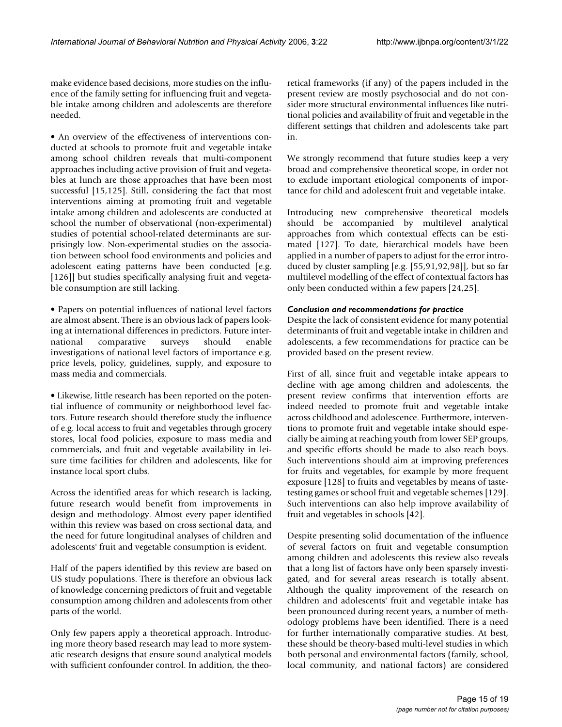make evidence based decisions, more studies on the influence of the family setting for influencing fruit and vegetable intake among children and adolescents are therefore needed.

• An overview of the effectiveness of interventions conducted at schools to promote fruit and vegetable intake among school children reveals that multi-component approaches including active provision of fruit and vegetables at lunch are those approaches that have been most successful [15,125]. Still, considering the fact that most interventions aiming at promoting fruit and vegetable intake among children and adolescents are conducted at school the number of observational (non-experimental) studies of potential school-related determinants are surprisingly low. Non-experimental studies on the association between school food environments and policies and adolescent eating patterns have been conducted [e.g. [126]] but studies specifically analysing fruit and vegetable consumption are still lacking.

• Papers on potential influences of national level factors are almost absent. There is an obvious lack of papers looking at international differences in predictors. Future international comparative surveys should enable investigations of national level factors of importance e.g. price levels, policy, guidelines, supply, and exposure to mass media and commercials.

• Likewise, little research has been reported on the potential influence of community or neighborhood level factors. Future research should therefore study the influence of e.g. local access to fruit and vegetables through grocery stores, local food policies, exposure to mass media and commercials, and fruit and vegetable availability in leisure time facilities for children and adolescents, like for instance local sport clubs.

Across the identified areas for which research is lacking, future research would benefit from improvements in design and methodology. Almost every paper identified within this review was based on cross sectional data, and the need for future longitudinal analyses of children and adolescents' fruit and vegetable consumption is evident.

Half of the papers identified by this review are based on US study populations. There is therefore an obvious lack of knowledge concerning predictors of fruit and vegetable consumption among children and adolescents from other parts of the world.

Only few papers apply a theoretical approach. Introducing more theory based research may lead to more systematic research designs that ensure sound analytical models with sufficient confounder control. In addition, the theoretical frameworks (if any) of the papers included in the present review are mostly psychosocial and do not consider more structural environmental influences like nutritional policies and availability of fruit and vegetable in the different settings that children and adolescents take part in.

We strongly recommend that future studies keep a very broad and comprehensive theoretical scope, in order not to exclude important etiological components of importance for child and adolescent fruit and vegetable intake.

Introducing new comprehensive theoretical models should be accompanied by multilevel analytical approaches from which contextual effects can be estimated [127]. To date, hierarchical models have been applied in a number of papers to adjust for the error introduced by cluster sampling [e.g. [55,91,92,98]], but so far multilevel modelling of the effect of contextual factors has only been conducted within a few papers [24,25].

# *Conclusion and recommendations for practice*

Despite the lack of consistent evidence for many potential determinants of fruit and vegetable intake in children and adolescents, a few recommendations for practice can be provided based on the present review.

First of all, since fruit and vegetable intake appears to decline with age among children and adolescents, the present review confirms that intervention efforts are indeed needed to promote fruit and vegetable intake across childhood and adolescence. Furthermore, interventions to promote fruit and vegetable intake should especially be aiming at reaching youth from lower SEP groups, and specific efforts should be made to also reach boys. Such interventions should aim at improving preferences for fruits and vegetables, for example by more frequent exposure [128] to fruits and vegetables by means of tastetesting games or school fruit and vegetable schemes [129]. Such interventions can also help improve availability of fruit and vegetables in schools [42].

Despite presenting solid documentation of the influence of several factors on fruit and vegetable consumption among children and adolescents this review also reveals that a long list of factors have only been sparsely investigated, and for several areas research is totally absent. Although the quality improvement of the research on children and adolescents' fruit and vegetable intake has been pronounced during recent years, a number of methodology problems have been identified. There is a need for further internationally comparative studies. At best, these should be theory-based multi-level studies in which both personal and environmental factors (family, school, local community, and national factors) are considered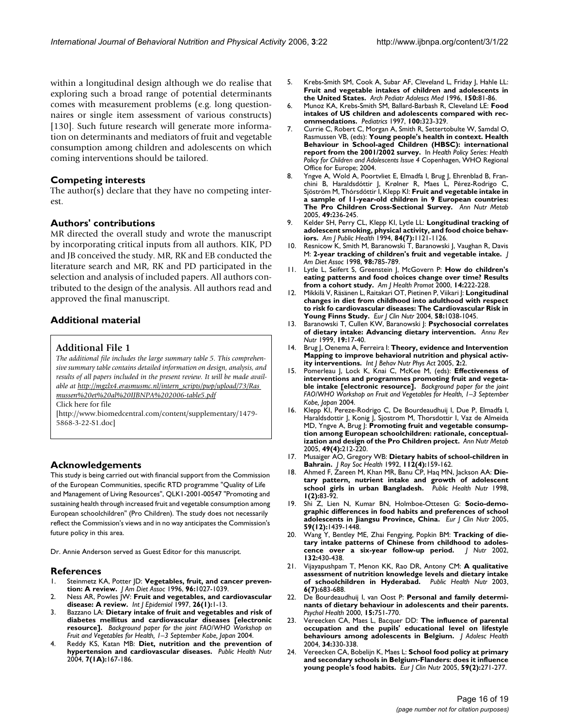within a longitudinal design although we do realise that exploring such a broad range of potential determinants comes with measurement problems (e.g. long questionnaires or single item assessment of various constructs) [130]. Such future research will generate more information on determinants and mediators of fruit and vegetable consumption among children and adolescents on which coming interventions should be tailored.

# **Competing interests**

The author(s) declare that they have no competing interest.

# **Authors' contributions**

MR directed the overall study and wrote the manuscript by incorporating critical inputs from all authors. KIK, PD and JB conceived the study. MR, RK and EB conducted the literature search and MR, RK and PD participated in the selection and analysis of included papers. All authors contributed to the design of the analysis. All authors read and approved the final manuscript.

# **Additional material**

# **Additional File 1**

*The additional file includes the large summary table 5. This comprehensive summary table contains detailed information on design, analysis, and results of all papers included in the present review. It will be made available at [http://mgzlx4.erasmusmc.nl/intern\\_scripts/pwp/upload/73/Ras](http://mgzlx4.erasmusmc.nl/intern_scripts/pwp/upload/73/Rasmussen%20et%20al%20IJBNPA%202006-table5.pdf)  [mussen%20et%20al%20IJBNPA%202006-table5.pdf](http://mgzlx4.erasmusmc.nl/intern_scripts/pwp/upload/73/Rasmussen%20et%20al%20IJBNPA%202006-table5.pdf)*

Click here for file

[\[http://www.biomedcentral.com/content/supplementary/1479-](http://www.biomedcentral.com/content/supplementary/1479-5868-3-22-S1.doc) 5868-3-22-S1.doc]

# **Acknowledgements**

This study is being carried out with financial support from the Commission of the European Communities, specific RTD programme "Quality of Life and Management of Living Resources", QLK1-2001-00547 "Promoting and sustaining health through increased fruit and vegetable consumption among European schoolchildren" (Pro Children). The study does not necessarily reflect the Commission's views and in no way anticipates the Commission's future policy in this area.

Dr. Annie Anderson served as Guest Editor for this manuscript.

## **References**

- Steinmetz KA, Potter JD: [Vegetables, fruit, and cancer preven](http://www.ncbi.nlm.nih.gov/entrez/query.fcgi?cmd=Retrieve&db=PubMed&dopt=Abstract&list_uids=8841165)**[tion: A review.](http://www.ncbi.nlm.nih.gov/entrez/query.fcgi?cmd=Retrieve&db=PubMed&dopt=Abstract&list_uids=8841165)** *J Am Diet Assoc* 1996, **96:**1027-1039.
- 2. Ness AR, Powles JW: **[Fruit and vegetables, and cardiovascular](http://www.ncbi.nlm.nih.gov/entrez/query.fcgi?cmd=Retrieve&db=PubMed&dopt=Abstract&list_uids=9126498) [disease: A review.](http://www.ncbi.nlm.nih.gov/entrez/query.fcgi?cmd=Retrieve&db=PubMed&dopt=Abstract&list_uids=9126498)** *Int J Epidemiol* 1997, **26(1):**1-13.
- 3. Bazzano LA: **Dietary intake of fruit and vegetables and risk of diabetes mellitus and cardiovascular diseases [electronic resource].** *Background paper for the joint FAO/WHO Workshop on Fruit and Vegetables for Health, 1–3 September Kobe, Japan* 2004.
- 4. Reddy KS, Katan MB: **[Diet, nutrition and the prevention of](http://www.ncbi.nlm.nih.gov/entrez/query.fcgi?cmd=Retrieve&db=PubMed&dopt=Abstract&list_uids=14972059) [hypertension and cardiovascular diseases.](http://www.ncbi.nlm.nih.gov/entrez/query.fcgi?cmd=Retrieve&db=PubMed&dopt=Abstract&list_uids=14972059)** *Public Health Nutr* 2004, **7(1A):**167-186.
- 5. Krebs-Smith SM, Cook A, Subar AF, Cleveland L, Friday J, Hahle LL: **Fruit and vegetable intakes of children and adolescents in the United States.** *Arch Pediatr Adolescs Med* 1996, **150:**81-86.
- 6. Munoz KA, Krebs-Smith SM, Ballard-Barbash R, Cleveland LE: **[Food](http://www.ncbi.nlm.nih.gov/entrez/query.fcgi?cmd=Retrieve&db=PubMed&dopt=Abstract&list_uids=9282700) [intakes of US children and adolescents compared with rec](http://www.ncbi.nlm.nih.gov/entrez/query.fcgi?cmd=Retrieve&db=PubMed&dopt=Abstract&list_uids=9282700)[ommendations.](http://www.ncbi.nlm.nih.gov/entrez/query.fcgi?cmd=Retrieve&db=PubMed&dopt=Abstract&list_uids=9282700)** *Pediatrics* 1997, **100:**323-329.
- 7. Currie C, Robert C, Morgan A, Smith R, Settertobulte W, Samdal O, Rasmussen VB, (eds): **Young people's health in context. Health Behaviour in School-aged Children (HBSC): international report from the 2001/2002 survey.** In *Health Policy Series: Health Policy for Children and Adolescents Issue 4* Copenhagen, WHO Regional Office for Europe; 2004.
- 8. Yngve A, Wold A, Poortvliet E, Elmadfa I, Brug J, Ehrenblad B, Franchini B, Haraldsdóttir J, Krølner R, Maes L, Pérez-Rodrigo C, Sjöström M, Thórsdóttir I, Klepp KI: **[Fruit and vegetable intake in](http://www.ncbi.nlm.nih.gov/entrez/query.fcgi?cmd=Retrieve&db=PubMed&dopt=Abstract&list_uids=16088087) [a sample of 11-year-old children in 9 European countries:](http://www.ncbi.nlm.nih.gov/entrez/query.fcgi?cmd=Retrieve&db=PubMed&dopt=Abstract&list_uids=16088087) [The Pro Children Cross-Sectional Survey.](http://www.ncbi.nlm.nih.gov/entrez/query.fcgi?cmd=Retrieve&db=PubMed&dopt=Abstract&list_uids=16088087)** *Ann Nutr Metab* 2005, **49:**236-245.
- 9. Kelder SH, Perry CL, Klepp KI, Lytle LL: **[Longitudinal tracking of](http://www.ncbi.nlm.nih.gov/entrez/query.fcgi?cmd=Retrieve&db=PubMed&dopt=Abstract&list_uids=8017536) [adolescent smoking, physical activity, and food choice behav](http://www.ncbi.nlm.nih.gov/entrez/query.fcgi?cmd=Retrieve&db=PubMed&dopt=Abstract&list_uids=8017536)[iors.](http://www.ncbi.nlm.nih.gov/entrez/query.fcgi?cmd=Retrieve&db=PubMed&dopt=Abstract&list_uids=8017536)** *Am J Public Health* 1994, **84(7):**1121-1126.
- 10. Resnicow K, Smith M, Baranowski T, Baranowski J, Vaughan R, Davis M: **[2-year tracking of children's fruit and vegetable intake.](http://www.ncbi.nlm.nih.gov/entrez/query.fcgi?cmd=Retrieve&db=PubMed&dopt=Abstract&list_uids=9664920)** *J Am Diet Assoc* 1998, **98:**785-789.
- 11. Lytle L, Seifert S, Greenstein J, McGovern P: **[How do children's](http://www.ncbi.nlm.nih.gov/entrez/query.fcgi?cmd=Retrieve&db=PubMed&dopt=Abstract&list_uids=10915532) [eating patterns and food choices change over time? Results](http://www.ncbi.nlm.nih.gov/entrez/query.fcgi?cmd=Retrieve&db=PubMed&dopt=Abstract&list_uids=10915532) [from a cohort study.](http://www.ncbi.nlm.nih.gov/entrez/query.fcgi?cmd=Retrieve&db=PubMed&dopt=Abstract&list_uids=10915532)** *Am J Health Promot* 2000, **14:**222-228.
- 12. Mikkilä V, Räsänen L, Raitakari OT, Pietinen P, Viikari J: **[Longitudinal](http://www.ncbi.nlm.nih.gov/entrez/query.fcgi?cmd=Retrieve&db=PubMed&dopt=Abstract&list_uids=15220946) changes in diet from childhood into adulthood with respect [to risk fo cardiovascular diseases: The Cardiovascular Risk in](http://www.ncbi.nlm.nih.gov/entrez/query.fcgi?cmd=Retrieve&db=PubMed&dopt=Abstract&list_uids=15220946) [Young Finns Study.](http://www.ncbi.nlm.nih.gov/entrez/query.fcgi?cmd=Retrieve&db=PubMed&dopt=Abstract&list_uids=15220946)** *Eur J Clin Nutr* 2004, **58:**1038-1045.
- 13. Baranowski T, Cullen KW, Baranowski J: **[Psychosocial correlates](http://www.ncbi.nlm.nih.gov/entrez/query.fcgi?cmd=Retrieve&db=PubMed&dopt=Abstract&list_uids=10448515) [of dietary intake: Advancing dietary intervention.](http://www.ncbi.nlm.nih.gov/entrez/query.fcgi?cmd=Retrieve&db=PubMed&dopt=Abstract&list_uids=10448515)** *Annu Rev Nutr* 1999, **19:**17-40.
- 14. Brug J, Oenema A, Ferreira I: **[Theory, evidence and Intervention](http://www.ncbi.nlm.nih.gov/entrez/query.fcgi?cmd=Retrieve&db=PubMed&dopt=Abstract&list_uids=15807898) [Mapping to improve behavioral nutrition and physical activ](http://www.ncbi.nlm.nih.gov/entrez/query.fcgi?cmd=Retrieve&db=PubMed&dopt=Abstract&list_uids=15807898)[ity interventions.](http://www.ncbi.nlm.nih.gov/entrez/query.fcgi?cmd=Retrieve&db=PubMed&dopt=Abstract&list_uids=15807898)** *Int J Behav Nutr Phys Act* 2005, **2:**2.
- 15. Pomerleau J, Lock K, Knai C, McKee M, (eds): **Effectiveness of interventions and programmes promoting fruit and vegetable intake [electronic resource].** *Background paper for the joint FAO/WHO Workshop on Fruit and Vegetables for Health, 1–3 September Kobe, Japan* 2004.
- 16. Klepp KI, Pereze-Rodrigo C, De Bourdeaudhuij I, Due P, Elmadfa I, Haraldsdottir J, Konig J, Sjostrom M, Thorsdottir I, Vaz de Almeida MD, Yngve A, Brug J: **[Promoting fruit and vegetable consump](http://www.ncbi.nlm.nih.gov/entrez/query.fcgi?cmd=Retrieve&db=PubMed&dopt=Abstract&list_uids=16088084)[tion among European schoolchildren: rationale, conceptual](http://www.ncbi.nlm.nih.gov/entrez/query.fcgi?cmd=Retrieve&db=PubMed&dopt=Abstract&list_uids=16088084)[ization and design of the Pro Children project.](http://www.ncbi.nlm.nih.gov/entrez/query.fcgi?cmd=Retrieve&db=PubMed&dopt=Abstract&list_uids=16088084)** *Ann Nutr Metab* 2005, **49(4):**212-220.
- 17. Musaiger AO, Gregory WB: **Dietary habits of school-children in Bahrain.** *J Roy Soc Health* 1992, **112(4):**159-162.
- 18. Ahmed F, Zareen M, Khan MR, Banu CP, Haq MN, Jackson AA: **[Die](http://www.ncbi.nlm.nih.gov/entrez/query.fcgi?cmd=Retrieve&db=PubMed&dopt=Abstract&list_uids=10933404)[tary pattern, nutrient intake and growth of adolescent](http://www.ncbi.nlm.nih.gov/entrez/query.fcgi?cmd=Retrieve&db=PubMed&dopt=Abstract&list_uids=10933404) [school girls in urban Bangladesh.](http://www.ncbi.nlm.nih.gov/entrez/query.fcgi?cmd=Retrieve&db=PubMed&dopt=Abstract&list_uids=10933404)** *Public Health Nutr* 1998, **1(2):**83-92.
- 19. Shi Z, Lien N, Kumar BN, Holmboe-Ottesen G: **[Socio-demo](http://www.ncbi.nlm.nih.gov/entrez/query.fcgi?cmd=Retrieve&db=PubMed&dopt=Abstract&list_uids=16118652)[graphic differences in food habits and preferences of school](http://www.ncbi.nlm.nih.gov/entrez/query.fcgi?cmd=Retrieve&db=PubMed&dopt=Abstract&list_uids=16118652) [adolescents in Jiangsu Province, China.](http://www.ncbi.nlm.nih.gov/entrez/query.fcgi?cmd=Retrieve&db=PubMed&dopt=Abstract&list_uids=16118652)** *Eur J Clin Nutr* 2005, **59(12):**1439-1448.
- 20. Wang Y, Bentley ME, Zhai Fengying, Popkin BM: **[Tracking of die](http://www.ncbi.nlm.nih.gov/entrez/query.fcgi?cmd=Retrieve&db=PubMed&dopt=Abstract&list_uids=11880567)[tary intake patterns of Chinese from childhood to adoles](http://www.ncbi.nlm.nih.gov/entrez/query.fcgi?cmd=Retrieve&db=PubMed&dopt=Abstract&list_uids=11880567)[cence over a six-year follow-up period.](http://www.ncbi.nlm.nih.gov/entrez/query.fcgi?cmd=Retrieve&db=PubMed&dopt=Abstract&list_uids=11880567)** *J Nutr* 2002, **132:**430-438.
- 21. Vijayapushpam T, Menon KK, Rao DR, Antony CM: **[A qualitative](http://www.ncbi.nlm.nih.gov/entrez/query.fcgi?cmd=Retrieve&db=PubMed&dopt=Abstract&list_uids=14552669) [assessment of nutrition knowledge levels and dietary intake](http://www.ncbi.nlm.nih.gov/entrez/query.fcgi?cmd=Retrieve&db=PubMed&dopt=Abstract&list_uids=14552669) [of schoolchildren in Hyderabad.](http://www.ncbi.nlm.nih.gov/entrez/query.fcgi?cmd=Retrieve&db=PubMed&dopt=Abstract&list_uids=14552669)** *Public Health Nutr* 2003, **6(7):**683-688.
- 22. De Bourdeaudhuij I, van Oost P: **Personal and family determinants of dietary behaviour in adolescents and their parents.** *Psychol Health* 2000, **15:**751-770.
- 23. Vereecken CA, Maes L, Bacquer DD: **[The influence of parental](http://www.ncbi.nlm.nih.gov/entrez/query.fcgi?cmd=Retrieve&db=PubMed&dopt=Abstract&list_uids=15041003) [occupation and the pupils' educational level on lifestyle](http://www.ncbi.nlm.nih.gov/entrez/query.fcgi?cmd=Retrieve&db=PubMed&dopt=Abstract&list_uids=15041003) [behaviours among adolescents in Belgium.](http://www.ncbi.nlm.nih.gov/entrez/query.fcgi?cmd=Retrieve&db=PubMed&dopt=Abstract&list_uids=15041003)** *J Adolesc Health* 2004, **34:**330-338.
- 24. Vereecken CA, Bobelijn K, Maes L: **[School food policy at primary](http://www.ncbi.nlm.nih.gov/entrez/query.fcgi?cmd=Retrieve&db=PubMed&dopt=Abstract&list_uids=15483630) [and secondary schools in Belgium-Flanders: does it influence](http://www.ncbi.nlm.nih.gov/entrez/query.fcgi?cmd=Retrieve&db=PubMed&dopt=Abstract&list_uids=15483630) [young people's food habits.](http://www.ncbi.nlm.nih.gov/entrez/query.fcgi?cmd=Retrieve&db=PubMed&dopt=Abstract&list_uids=15483630)** *Eur J Clin Nutr* 2005, **59(2):**271-277.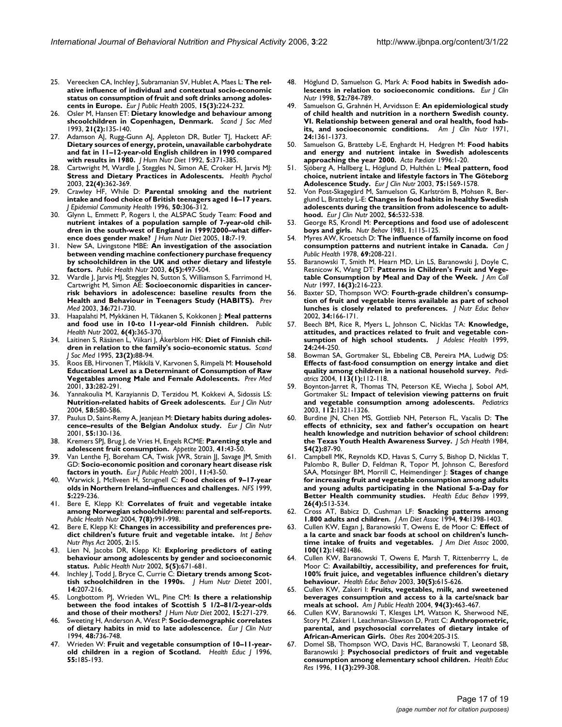- 25. Vereecken CA, Inchley J, Subramanian SV, Hublet A, Maes L: [The rel](http://www.ncbi.nlm.nih.gov/entrez/query.fcgi?cmd=Retrieve&db=PubMed&dopt=Abstract&list_uids=15905182)**ative influence of individual and contextual socio-economic [status on consumption of fruit and soft drinks among adoles](http://www.ncbi.nlm.nih.gov/entrez/query.fcgi?cmd=Retrieve&db=PubMed&dopt=Abstract&list_uids=15905182)[cents in Europe.](http://www.ncbi.nlm.nih.gov/entrez/query.fcgi?cmd=Retrieve&db=PubMed&dopt=Abstract&list_uids=15905182)** *Eur J Public Health* 2005, **15(3):**224-232.
- 26. Osler M, Hansen ET: **[Dietary knowledge and behaviour among](http://www.ncbi.nlm.nih.gov/entrez/query.fcgi?cmd=Retrieve&db=PubMed&dopt=Abstract&list_uids=8367681) [shcoolchildren in Copenhagen, Denmark.](http://www.ncbi.nlm.nih.gov/entrez/query.fcgi?cmd=Retrieve&db=PubMed&dopt=Abstract&list_uids=8367681)** *Scand J Soc Med* 1993, **21(2):**135-140.
- 27. Adamson AJ, Rugg-Gunn AJ, Appleton DR, Butler TJ, Hackett AF: **Dietary sources of energy, protein, unavailable carbohydrate and fat in 11–12-year-old English children in 1990 compared with results in 1980.** *J Hum Nutr Diet* 1992, **5:**371-385.
- 28. Cartwright M, Wardle J, Steggles N, Simon AE, Croker H, Jarvis MJ: **[Stress and Dietary Practices in Adolescents.](http://www.ncbi.nlm.nih.gov/entrez/query.fcgi?cmd=Retrieve&db=PubMed&dopt=Abstract&list_uids=12940392)** *Health Psychol* 2003, **22(4):**362-369.
- 29. Crawley HF, While D: **[Parental smoking and the nutrient](http://www.ncbi.nlm.nih.gov/entrez/query.fcgi?cmd=Retrieve&db=PubMed&dopt=Abstract&list_uids=8935463) [intake and food choice of British teenagers aged 16–17 years.](http://www.ncbi.nlm.nih.gov/entrez/query.fcgi?cmd=Retrieve&db=PubMed&dopt=Abstract&list_uids=8935463)** *J Epidemiol Community Health* 1996, **50:**306-312.
- 30. Glynn L, Emmett P, Rogers I, the ALSPAC Study Team: **[Food and](http://www.ncbi.nlm.nih.gov/entrez/query.fcgi?cmd=Retrieve&db=PubMed&dopt=Abstract&list_uids=15647094) nutrient intakes of a population sample of 7-year-old chil[dren in the south-west of England in 1999/2000–what differ](http://www.ncbi.nlm.nih.gov/entrez/query.fcgi?cmd=Retrieve&db=PubMed&dopt=Abstract&list_uids=15647094)[ence does gender make?](http://www.ncbi.nlm.nih.gov/entrez/query.fcgi?cmd=Retrieve&db=PubMed&dopt=Abstract&list_uids=15647094)** *J Hum Nutr Diet* 2005, **18:**7-19.
- 31. New SA, Livingstone MBE: **[An investigation of the association](http://www.ncbi.nlm.nih.gov/entrez/query.fcgi?cmd=Retrieve&db=PubMed&dopt=Abstract&list_uids=12943566) between vending machine confectionery purchase frequency [by schoolchildren in the UK and other dietary and lifestyle](http://www.ncbi.nlm.nih.gov/entrez/query.fcgi?cmd=Retrieve&db=PubMed&dopt=Abstract&list_uids=12943566) [factors.](http://www.ncbi.nlm.nih.gov/entrez/query.fcgi?cmd=Retrieve&db=PubMed&dopt=Abstract&list_uids=12943566)** *Public Health Nutr* 2003, **6(5):**497-504.
- 32. Wardle J, Jarvis MJ, Steggles N, Sutton S, Williamson S, Farrimond H, Cartwright M, Simon AE: **[Socioeconomic disparities in cancer](http://www.ncbi.nlm.nih.gov/entrez/query.fcgi?cmd=Retrieve&db=PubMed&dopt=Abstract&list_uids=12744916)[risk behaviors in adolescence: baseline results from the](http://www.ncbi.nlm.nih.gov/entrez/query.fcgi?cmd=Retrieve&db=PubMed&dopt=Abstract&list_uids=12744916) [Health and Behaviour in Teenagers Study \(HABITS\).](http://www.ncbi.nlm.nih.gov/entrez/query.fcgi?cmd=Retrieve&db=PubMed&dopt=Abstract&list_uids=12744916)** *Prev Med* 2003, **36:**721-730.
- 33. Haapalahti M, Mykkänen H, Tikkanen S, Kokkonen J: **Meal patterns and food use in 10-to 11-year-old Finnish children.** *Public Health Nutr* 2002, **6(4):**365-370.
- 34. Laitinen S, Räsänen L, Viikari J, Åkerblom HK: **[Diet of Finnish chil](http://www.ncbi.nlm.nih.gov/entrez/query.fcgi?cmd=Retrieve&db=PubMed&dopt=Abstract&list_uids=7676224)[dren in relation to the family's socio-economic status.](http://www.ncbi.nlm.nih.gov/entrez/query.fcgi?cmd=Retrieve&db=PubMed&dopt=Abstract&list_uids=7676224)** *Scand J Soc Med* 1995, **23(2):**88-94.
- 35. Roos EB, Hirvonen T, Mikkilä V, Karvonen S, Rimpelä M: **[Household](http://www.ncbi.nlm.nih.gov/entrez/query.fcgi?cmd=Retrieve&db=PubMed&dopt=Abstract&list_uids=11570832) [Educational Level as a Determinant of Consumption of Raw](http://www.ncbi.nlm.nih.gov/entrez/query.fcgi?cmd=Retrieve&db=PubMed&dopt=Abstract&list_uids=11570832) [Vegetables among Male and Female Adolescents.](http://www.ncbi.nlm.nih.gov/entrez/query.fcgi?cmd=Retrieve&db=PubMed&dopt=Abstract&list_uids=11570832)** *Prev Med* 2001, **33:**282-291.
- 36. Yannakoulia M, Karayiannis D, Terzidou M, Kokkevi A, Sidossis LS: **[Nutrition-related habits of Greek adolescents.](http://www.ncbi.nlm.nih.gov/entrez/query.fcgi?cmd=Retrieve&db=PubMed&dopt=Abstract&list_uids=15042125)** *Eur J Clin Nutr* 2004, **58:**580-586.
- 37. Paulus D, Saint-Remy A, Jeanjean M: **[Dietary habits during adoles](http://www.ncbi.nlm.nih.gov/entrez/query.fcgi?cmd=Retrieve&db=PubMed&dopt=Abstract&list_uids=11305626)[cence–results of the Belgian Andolux study.](http://www.ncbi.nlm.nih.gov/entrez/query.fcgi?cmd=Retrieve&db=PubMed&dopt=Abstract&list_uids=11305626)** *Eur J Clin Nutr* 2001, **55:**130-136.
- 38. Kremers SPJ, Brug J, de Vries H, Engels RCME: **[Parenting style and](http://www.ncbi.nlm.nih.gov/entrez/query.fcgi?cmd=Retrieve&db=PubMed&dopt=Abstract&list_uids=12880620) [adolescent fruit consumption.](http://www.ncbi.nlm.nih.gov/entrez/query.fcgi?cmd=Retrieve&db=PubMed&dopt=Abstract&list_uids=12880620)** *Appetite* 2003, **41:**43-50.
- 39. Van Lenthe FJ, Boreham CA, Twisk JWR, Strain JJ, Savage JM, Smith GD: **[Socio-economic position and coronary heart disease risk](http://www.ncbi.nlm.nih.gov/entrez/query.fcgi?cmd=Retrieve&db=PubMed&dopt=Abstract&list_uids=11276571) [factors in youth.](http://www.ncbi.nlm.nih.gov/entrez/query.fcgi?cmd=Retrieve&db=PubMed&dopt=Abstract&list_uids=11276571)** *Eur J Public Health* 2001, **11:**43-50.
- 40. Warwick J, McIlveen H, Strugnell C: **Food choices of 9–17-year olds in Northern Ireland–influences and challenges.** *NFS* 1999, **5:**229-236.
- 41. Bere E, Klepp KI: **[Correlates of fruit and vegetable intake](http://www.ncbi.nlm.nih.gov/entrez/query.fcgi?cmd=Retrieve&db=PubMed&dopt=Abstract&list_uids=15548337) [among Norwegian schoolchildren: parental and self-reports.](http://www.ncbi.nlm.nih.gov/entrez/query.fcgi?cmd=Retrieve&db=PubMed&dopt=Abstract&list_uids=15548337)** *Public Health Nutr* 2004, **7(8):**991-998.
- 42. Bere E, Klepp KI: **[Changes in accessibility and preferences pre](http://www.ncbi.nlm.nih.gov/entrez/query.fcgi?cmd=Retrieve&db=PubMed&dopt=Abstract&list_uids=16216124)[dict children's future fruit and vegetable intake.](http://www.ncbi.nlm.nih.gov/entrez/query.fcgi?cmd=Retrieve&db=PubMed&dopt=Abstract&list_uids=16216124)** *Int J Behav Nutr Phys Act* 2005, **2:**15.
- 43. Lien N, Jacobs DR, Klepp KI: **[Exploring predictors of eating](http://www.ncbi.nlm.nih.gov/entrez/query.fcgi?cmd=Retrieve&db=PubMed&dopt=Abstract&list_uids=12372162) [behaviour among adolescents by gender and socioeconomic](http://www.ncbi.nlm.nih.gov/entrez/query.fcgi?cmd=Retrieve&db=PubMed&dopt=Abstract&list_uids=12372162) [status.](http://www.ncbi.nlm.nih.gov/entrez/query.fcgi?cmd=Retrieve&db=PubMed&dopt=Abstract&list_uids=12372162)** *Public Health Nutr* 2002, **5(5):**671-681.
- 44. Inchley J, Todd J, Bryce C, Currie C: **Dietary trends among Scottish schoolchildren in the 1990s.** *J Hum Nutr Dietet* 2001, **14:**207-216.
- 45. Longbottom PJ, Wrieden WL, Pine CM: **[Is there a relationship](http://www.ncbi.nlm.nih.gov/entrez/query.fcgi?cmd=Retrieve&db=PubMed&dopt=Abstract&list_uids=12153500) [between the food intakes of Scottish 5 1/2–81/2-year-olds](http://www.ncbi.nlm.nih.gov/entrez/query.fcgi?cmd=Retrieve&db=PubMed&dopt=Abstract&list_uids=12153500) [and those of their mothers?](http://www.ncbi.nlm.nih.gov/entrez/query.fcgi?cmd=Retrieve&db=PubMed&dopt=Abstract&list_uids=12153500)** *J Hum Nutr Diet* 2002, **15:**271-279.
- 46. Sweeting H, Anderson A, West P: **[Socio-demographic correlates](http://www.ncbi.nlm.nih.gov/entrez/query.fcgi?cmd=Retrieve&db=PubMed&dopt=Abstract&list_uids=7835328) [of dietary habits in mid to late adolescence.](http://www.ncbi.nlm.nih.gov/entrez/query.fcgi?cmd=Retrieve&db=PubMed&dopt=Abstract&list_uids=7835328)** *Eur J Clin Nutr* 1994, **48:**736-748.
- 47. Wrieden W: **Fruit and vegetable consumption of 10–11-yearold children in a region of Scotland.** *Health Educ J* 1996, **55:**185-193.
- 48. Höglund D, Samuelson G, Mark A: **[Food habits in Swedish ado](http://www.ncbi.nlm.nih.gov/entrez/query.fcgi?cmd=Retrieve&db=PubMed&dopt=Abstract&list_uids=9846589)[lescents in relation to socioeconomic conditions.](http://www.ncbi.nlm.nih.gov/entrez/query.fcgi?cmd=Retrieve&db=PubMed&dopt=Abstract&list_uids=9846589)** *Eur J Clin Nutr* 1998, **52:**784-789.
- 49. Samuelson G, Grahnén H, Arvidsson E: **[An epidemiological study](http://www.ncbi.nlm.nih.gov/entrez/query.fcgi?cmd=Retrieve&db=PubMed&dopt=Abstract&list_uids=4398953) of child health and nutrition in a northern Swedish county. [VI. Relationship between general and oral health, food hab](http://www.ncbi.nlm.nih.gov/entrez/query.fcgi?cmd=Retrieve&db=PubMed&dopt=Abstract&list_uids=4398953)[its, and socioeconomic conditions.](http://www.ncbi.nlm.nih.gov/entrez/query.fcgi?cmd=Retrieve&db=PubMed&dopt=Abstract&list_uids=4398953)** *Am J Clin Nutr* 1971, **24:**1361-1373.
- 50. Samuelson G, Bratteby L-E, Enghardt H, Hedgren M: **Food habits and energy and nutrient intake in Swedish adolescents approaching the year 2000.** *Acta Pædiatr* 1996:1-20.
- 51. Sjöberg A, Hallberg L, Höglund D, Hulthén L: **Meal pattern, food choice, nutrient intake and lifestyle factors in The Göteborg Adolescence Study.** *Eur J Clin Nutr* 2003, **75:**1569-1578.
- 52. Von Post-Skagegård M, Samuelson G, Karlström B, Mohsen R, Berglund L, Bratteby L-E: **[Changes in food habits in healthy Swedish](http://www.ncbi.nlm.nih.gov/entrez/query.fcgi?cmd=Retrieve&db=PubMed&dopt=Abstract&list_uids=12032653) [adolescents during the transition from adolescence to adult](http://www.ncbi.nlm.nih.gov/entrez/query.fcgi?cmd=Retrieve&db=PubMed&dopt=Abstract&list_uids=12032653)[hood.](http://www.ncbi.nlm.nih.gov/entrez/query.fcgi?cmd=Retrieve&db=PubMed&dopt=Abstract&list_uids=12032653)** *Eur J Clin Nutr* 2002, **56:**532-538.
- 53. George RS, Krondl M: **Perceptions and food use of adolescent boys and girls.** *Nutr Behav* 1983, **1:**115-125.
- 54. Myres AW, Kroetsch D: **[The influence of family income on food](http://www.ncbi.nlm.nih.gov/entrez/query.fcgi?cmd=Retrieve&db=PubMed&dopt=Abstract&list_uids=667769) [consumption patterns and nutrient intake in Canada.](http://www.ncbi.nlm.nih.gov/entrez/query.fcgi?cmd=Retrieve&db=PubMed&dopt=Abstract&list_uids=667769)** *Can J Public Health* 1978, **69:**208-221.
- 55. Baranowski T, Smith M, Hearn MD, Lin LS, Baranowski J, Doyle C, Resnicow K, Wang DT: **[Patterns in Children's Fruit and Vege](http://www.ncbi.nlm.nih.gov/entrez/query.fcgi?cmd=Retrieve&db=PubMed&dopt=Abstract&list_uids=9176827)[table Consumption by Meal and Day of the Week.](http://www.ncbi.nlm.nih.gov/entrez/query.fcgi?cmd=Retrieve&db=PubMed&dopt=Abstract&list_uids=9176827)** *J Am Coll Nutr* 1997, **16(3):**216-223.
- 56. Baxter SD, Thompson WO: **[Fourth-grade children's consump](http://www.ncbi.nlm.nih.gov/entrez/query.fcgi?cmd=Retrieve&db=PubMed&dopt=Abstract&list_uids=12047841)[tion of fruit and vegetable items available as part of school](http://www.ncbi.nlm.nih.gov/entrez/query.fcgi?cmd=Retrieve&db=PubMed&dopt=Abstract&list_uids=12047841) [lunches is closely related to preferences.](http://www.ncbi.nlm.nih.gov/entrez/query.fcgi?cmd=Retrieve&db=PubMed&dopt=Abstract&list_uids=12047841)** *J Nutr Educ Behav* 2002, **34:**166-171.
- 57. Beech BM, Rice R, Myers L, Johnson C, Nicklas TA: **[Knowledge,](http://www.ncbi.nlm.nih.gov/entrez/query.fcgi?cmd=Retrieve&db=PubMed&dopt=Abstract&list_uids=10227343) [attitudes, and practices related to fruit and vegetable con](http://www.ncbi.nlm.nih.gov/entrez/query.fcgi?cmd=Retrieve&db=PubMed&dopt=Abstract&list_uids=10227343)[sumption of high school students.](http://www.ncbi.nlm.nih.gov/entrez/query.fcgi?cmd=Retrieve&db=PubMed&dopt=Abstract&list_uids=10227343)** *J Adolesc Health* 1999, **24:**244-250.
- 58. Bowman SA, Gortmaker SL, Ebbeling CB, Pereira MA, Ludwig DS: **[Effects of fast-food consumption on energy intake and diet](http://www.ncbi.nlm.nih.gov/entrez/query.fcgi?cmd=Retrieve&db=PubMed&dopt=Abstract&list_uids=14702458) [quality among children in a national household survey.](http://www.ncbi.nlm.nih.gov/entrez/query.fcgi?cmd=Retrieve&db=PubMed&dopt=Abstract&list_uids=14702458)** *Pediatrics* 2004, **113(1):**112-118.
- 59. Boynton-Jarret R, Thomas TN, Peterson KE, Wiecha J, Sobol AM, Gortmaker SL: **[Impact of television viewing patterns on fruit](http://www.ncbi.nlm.nih.gov/entrez/query.fcgi?cmd=Retrieve&db=PubMed&dopt=Abstract&list_uids=14654604) [and vegetable consumption among adolescents.](http://www.ncbi.nlm.nih.gov/entrez/query.fcgi?cmd=Retrieve&db=PubMed&dopt=Abstract&list_uids=14654604)** *Pediatrics* 2003, **112:**1321-1326.
- 60. Burdine JN, Chen MS, Gottlieb NH, Peterson FL, Vacalis D: **[The](http://www.ncbi.nlm.nih.gov/entrez/query.fcgi?cmd=Retrieve&db=PubMed&dopt=Abstract&list_uids=6563319) effects of ethnicity, sex and father's occupation on heart [health knowledge and nutrition behavior of school children:](http://www.ncbi.nlm.nih.gov/entrez/query.fcgi?cmd=Retrieve&db=PubMed&dopt=Abstract&list_uids=6563319) [the Texas Youth Health Awareness Survey.](http://www.ncbi.nlm.nih.gov/entrez/query.fcgi?cmd=Retrieve&db=PubMed&dopt=Abstract&list_uids=6563319)** *J Sch Health* 1984, **54(2):**87-90.
- 61. Campbell MK, Reynolds KD, Havas S, Curry S, Bishop D, Nicklas T, Palombo R, Buller D, Feldman R, Topor M, Johnson C, Beresford SAA, Motsinger BM, Morrill C, Heimendinger J: **[Stages of change](http://www.ncbi.nlm.nih.gov/entrez/query.fcgi?cmd=Retrieve&db=PubMed&dopt=Abstract&list_uids=10435235) for increasing fruit and vegetable consumption among adults [and young adults participating in the National 5-a-Day for](http://www.ncbi.nlm.nih.gov/entrez/query.fcgi?cmd=Retrieve&db=PubMed&dopt=Abstract&list_uids=10435235) [Better Health community studies.](http://www.ncbi.nlm.nih.gov/entrez/query.fcgi?cmd=Retrieve&db=PubMed&dopt=Abstract&list_uids=10435235)** *Health Educ Behav* 1999, **26(4):**513-534.
- 62. Cross AT, Babicz D, Cushman LF: **[Snacking patterns among](http://www.ncbi.nlm.nih.gov/entrez/query.fcgi?cmd=Retrieve&db=PubMed&dopt=Abstract&list_uids=7963190) [1.800 adults and children.](http://www.ncbi.nlm.nih.gov/entrez/query.fcgi?cmd=Retrieve&db=PubMed&dopt=Abstract&list_uids=7963190)** *J Am Diet Assoc* 1994, **94:**1398-1403.
- 63. Cullen KW, Eagan J, Baranowski T, Owens E, de Moor C: **Effect of a la carte and snack bar foods at school on children's lunchtime intake of fruits and vegetables.** *J Am Diet Assoc* 2000, **100(12):**14821486.
- 64. Cullen KW, Baranowski T, Owens E, Marsh T, Rittenberrry L, de Moor C: **[Availabiltiy, accessibility, and preferences for fruit,](http://www.ncbi.nlm.nih.gov/entrez/query.fcgi?cmd=Retrieve&db=PubMed&dopt=Abstract&list_uids=14582601) [100% fruit juice, and vegetables influence children's dietary](http://www.ncbi.nlm.nih.gov/entrez/query.fcgi?cmd=Retrieve&db=PubMed&dopt=Abstract&list_uids=14582601) [behaviour.](http://www.ncbi.nlm.nih.gov/entrez/query.fcgi?cmd=Retrieve&db=PubMed&dopt=Abstract&list_uids=14582601)** *Health Educ Behav* 2003, **30(5):**615-626.
- 65. Cullen KW, Zakeri I: **[Fruits, vegetables, milk, and sweetened](http://www.ncbi.nlm.nih.gov/entrez/query.fcgi?cmd=Retrieve&db=PubMed&dopt=Abstract&list_uids=14998815) [beverages consumption and access to à la carte/snack bar](http://www.ncbi.nlm.nih.gov/entrez/query.fcgi?cmd=Retrieve&db=PubMed&dopt=Abstract&list_uids=14998815) [meals at school.](http://www.ncbi.nlm.nih.gov/entrez/query.fcgi?cmd=Retrieve&db=PubMed&dopt=Abstract&list_uids=14998815)** *Am J Public Health* 2004, **94(3):**463-467.
- 66. Cullen KW, Baranowski T, Klesges LM, Watson K, Sherwood NE, Story M, Zakeri I, Leachman-Slawson D, Pratt C: **Anthropometric, parental, and psychosocial correlates of dietary intake of African-American Girls.** *Obes Res* 2004:20S-31S.
- Domel SB, Thompson WO, Davis HC, Baranowski T, Leonard SB, Baranowski J: **Psychosocial predictors of fruit and vegetable consumption among elementary school children.** *Health Educ Res* 1996, **11(3):**299-308.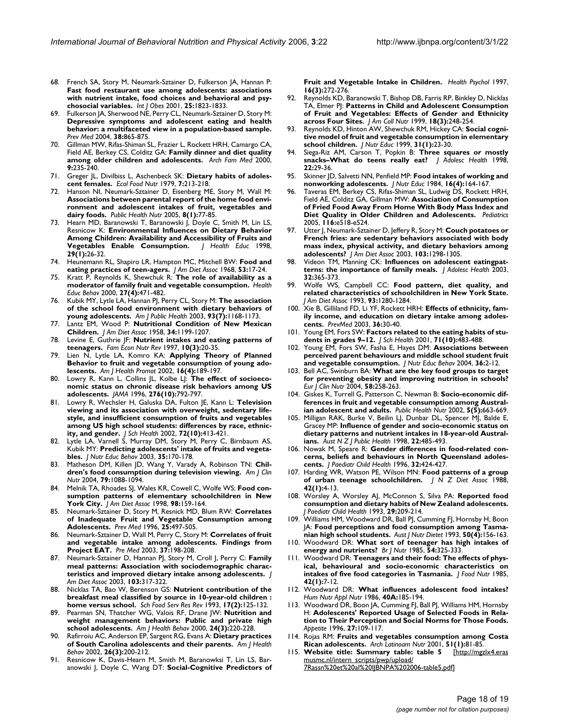- 68. French SA, Story M, Neumark-Sztainer D, Fulkerson JA, Hannan P: **Fast food restaurant use among adolescents: associations with nutrient intake, food choices and behavioral and psychosocial variables.** *Int J Obes* 2001, **25:**1823-1833.
- 69. Fulkerson JA, Sherwood NE, Perry CL, Neumark-Sztainer D, Story M: **Depressive symptoms and adolescent eating and health [behavior: a multifaceted view in a population-based sample.](http://www.ncbi.nlm.nih.gov/entrez/query.fcgi?cmd=Retrieve&db=PubMed&dopt=Abstract&list_uids=15193910)** *Prev Med* 2004, **38:**865-875.
- Gillman MW, Rifas-Shiman SL, Frazier L, Rockett HRH, Camargo CA, Field AE, Berkey CS, Colditz GA: **[Family dinner and diet quality](http://www.ncbi.nlm.nih.gov/entrez/query.fcgi?cmd=Retrieve&db=PubMed&dopt=Abstract&list_uids=10728109) [among older children and adolescents.](http://www.ncbi.nlm.nih.gov/entrez/query.fcgi?cmd=Retrieve&db=PubMed&dopt=Abstract&list_uids=10728109)** *Arch Fam Med* 2000, **9:**235-240.
- 71. Greger JL, Divilbiss L, Aschenbeck SK: **Dietary habits of adolescent females.** *Ecol Food Nutr* 1979, **7:**213-218.
- 72. Hanson NI, Neumark-Sztainer D, Eisenberg ME, Story M, Wall M: **Associations between parental report of the home food envi[ronment and adolescent intakes of fruit, vegetables and](http://www.ncbi.nlm.nih.gov/entrez/query.fcgi?cmd=Retrieve&db=PubMed&dopt=Abstract&list_uids=15705248) [dairy foods.](http://www.ncbi.nlm.nih.gov/entrez/query.fcgi?cmd=Retrieve&db=PubMed&dopt=Abstract&list_uids=15705248)** *Public Health Nutr* 2005, **8(1):**77-85.
- Hearn MD, Baranowski T, Baranowski J, Doyle C, Smith M, Lin LS, Resnicow K: **Environmental Influences on Dietary Behavior Among Children: Availability and Accessibility of Fruits and Vegetables Enable Consumption.** J Health Educ 1998, **Vegetables Enable Consumption. 29(1):**26-32.
- 74. Heunemann RL, Shapiro LR, Hampton MC, Mitchell BW: **[Food and](http://www.ncbi.nlm.nih.gov/entrez/query.fcgi?cmd=Retrieve&db=PubMed&dopt=Abstract&list_uids=5656893) [eating practices of teen-agers.](http://www.ncbi.nlm.nih.gov/entrez/query.fcgi?cmd=Retrieve&db=PubMed&dopt=Abstract&list_uids=5656893)** *J Am Diet Assoc* 1968, **53:**17-24.
- 75. Kratt P, Reynolds K, Shewchuk R: **[The role of availability as a](http://www.ncbi.nlm.nih.gov/entrez/query.fcgi?cmd=Retrieve&db=PubMed&dopt=Abstract&list_uids=10929754) [moderator of family fruit and vegetable consumption.](http://www.ncbi.nlm.nih.gov/entrez/query.fcgi?cmd=Retrieve&db=PubMed&dopt=Abstract&list_uids=10929754)** *Health Educ Behav* 2000, **27(4):**471-482.
- 76. Kubik MY, Lytle LA, Hannan PJ, Perry CL, Story M: **[The association](http://www.ncbi.nlm.nih.gov/entrez/query.fcgi?cmd=Retrieve&db=PubMed&dopt=Abstract&list_uids=12835204) [of the school food environment with dietary behaviors of](http://www.ncbi.nlm.nih.gov/entrez/query.fcgi?cmd=Retrieve&db=PubMed&dopt=Abstract&list_uids=12835204) [young adolescents.](http://www.ncbi.nlm.nih.gov/entrez/query.fcgi?cmd=Retrieve&db=PubMed&dopt=Abstract&list_uids=12835204)** *Am J Public Health* 2003, **93(7):**1168-1173.
- 77. Lantz EM, Wood P: **[Nutritional Condition of New Mexican](http://www.ncbi.nlm.nih.gov/entrez/query.fcgi?cmd=Retrieve&db=PubMed&dopt=Abstract&list_uids=13587156) [Children.](http://www.ncbi.nlm.nih.gov/entrez/query.fcgi?cmd=Retrieve&db=PubMed&dopt=Abstract&list_uids=13587156)** *J Am Diet Assoc* 1958, **34:**1199-1207.
- 78. Levine E, Guthrie JF: **Nutrient intakes and eating patterns of teenagers.** *Fam Econ Nutr Rev* 1997, **10(3):**20-35.
- 79. Lien N, Lytle LA, Komro KA: **[Applying Theory of Planned](http://www.ncbi.nlm.nih.gov/entrez/query.fcgi?cmd=Retrieve&db=PubMed&dopt=Abstract&list_uids=11913324) [Behavior to fruit and vegetable consumption of young ado](http://www.ncbi.nlm.nih.gov/entrez/query.fcgi?cmd=Retrieve&db=PubMed&dopt=Abstract&list_uids=11913324)[lescents.](http://www.ncbi.nlm.nih.gov/entrez/query.fcgi?cmd=Retrieve&db=PubMed&dopt=Abstract&list_uids=11913324)** *Am J Health Promot* 2002, **16(4):**189-197.
- 80. Lowry R, Kann L, Collins JL, Kolbe LJ: **[The effect of socioeco](http://www.ncbi.nlm.nih.gov/entrez/query.fcgi?cmd=Retrieve&db=PubMed&dopt=Abstract&list_uids=8769588)[nomic status on chronic disease risk behaviors among US](http://www.ncbi.nlm.nih.gov/entrez/query.fcgi?cmd=Retrieve&db=PubMed&dopt=Abstract&list_uids=8769588) [adolescents.](http://www.ncbi.nlm.nih.gov/entrez/query.fcgi?cmd=Retrieve&db=PubMed&dopt=Abstract&list_uids=8769588)** *JAMA* 1996, **276(10):**792-797.
- 81. Lowry R, Wechsler H, Galuska DA, Fulton JE, Kann L: **[Television](http://www.ncbi.nlm.nih.gov/entrez/query.fcgi?cmd=Retrieve&db=PubMed&dopt=Abstract&list_uids=12617028) viewing and its association with overweight, sedentary life[style, and insufficient consumption of fruits and vegetables](http://www.ncbi.nlm.nih.gov/entrez/query.fcgi?cmd=Retrieve&db=PubMed&dopt=Abstract&list_uids=12617028) among US high school students: differences by race, ethnic[ity, and gender.](http://www.ncbi.nlm.nih.gov/entrez/query.fcgi?cmd=Retrieve&db=PubMed&dopt=Abstract&list_uids=12617028)** *J Sch Health* 2002, **72(10):**413-421.
- 82. Lytle LA, Varnell S, Murray DM, Story M, Perry C, Birnbaum AS, Kubik MY: **[Predicting adolescents' intake of fruits and vegeta](http://www.ncbi.nlm.nih.gov/entrez/query.fcgi?cmd=Retrieve&db=PubMed&dopt=Abstract&list_uids=12859881)[bles.](http://www.ncbi.nlm.nih.gov/entrez/query.fcgi?cmd=Retrieve&db=PubMed&dopt=Abstract&list_uids=12859881)** *J Nutr Educ Behav* 2003, **35:**170-178.
- 83. Matheson DM, Killen JD, Wang Y, Varady A, Robinson TN: **[Chil](http://www.ncbi.nlm.nih.gov/entrez/query.fcgi?cmd=Retrieve&db=PubMed&dopt=Abstract&list_uids=15159240)[dren's food consumption during television viewing.](http://www.ncbi.nlm.nih.gov/entrez/query.fcgi?cmd=Retrieve&db=PubMed&dopt=Abstract&list_uids=15159240)** *Am J Clin Nutr* 2004, **79:**1088-1094.
- 84. Melnik TA, Rhoades SJ, Wales KR, Cowell C, Wolfe WS: **[Food con](http://www.ncbi.nlm.nih.gov/entrez/query.fcgi?cmd=Retrieve&db=PubMed&dopt=Abstract&list_uids=12515416)[sumption patterns of elementary schoolchildren in New](http://www.ncbi.nlm.nih.gov/entrez/query.fcgi?cmd=Retrieve&db=PubMed&dopt=Abstract&list_uids=12515416) [York City.](http://www.ncbi.nlm.nih.gov/entrez/query.fcgi?cmd=Retrieve&db=PubMed&dopt=Abstract&list_uids=12515416)** *J Am Diet Assoc* 1998, **98:**159-164.
- 85. Neumark-Sztainer D, Story M, Resnick MD, Blum RW: **[Correlates](http://www.ncbi.nlm.nih.gov/entrez/query.fcgi?cmd=Retrieve&db=PubMed&dopt=Abstract&list_uids=8888316) [of Inadequate Fruit and Vegetable Consumption among](http://www.ncbi.nlm.nih.gov/entrez/query.fcgi?cmd=Retrieve&db=PubMed&dopt=Abstract&list_uids=8888316) [Adolescents.](http://www.ncbi.nlm.nih.gov/entrez/query.fcgi?cmd=Retrieve&db=PubMed&dopt=Abstract&list_uids=8888316)** *Prev Med* 1996, **25:**497-505.
- 86. Neumark-Sztainer D, Wall M, Perry C, Story M: **Correlates of fruit and vegetable intake among adolescents. Findings from Project EAT.** *Pre Med* 2003, **37:**198-208.
- 87. Neumark-Sztainer D, Hannan PJ, Story M, Croll J, Perry C: **[Family](http://www.ncbi.nlm.nih.gov/entrez/query.fcgi?cmd=Retrieve&db=PubMed&dopt=Abstract&list_uids=12616252) [meal patterns: Association with sociodemographic charac](http://www.ncbi.nlm.nih.gov/entrez/query.fcgi?cmd=Retrieve&db=PubMed&dopt=Abstract&list_uids=12616252)[teristics and improved dietary intake among adolescents.](http://www.ncbi.nlm.nih.gov/entrez/query.fcgi?cmd=Retrieve&db=PubMed&dopt=Abstract&list_uids=12616252)** *J Am Diet Assoc* 2003, **103:**317-322.
- 88. Nicklas TA, Bao W, Berenson GS: **Nutrient contribution of the breakfast meal classified by source in 10-year-old children : home versus school.** *Sch Food Serv Res Rev* 1993, **17(2):**125-132.
- 89. Pearman SN, Thatcher WG, Valois RF, Drane JW: **Nutrition and weight management behaviors: Public and private high school adolescents.** *Am J Health Behav* 2000, **24(3):**220-228.
- 90. Rafirroiu AC, Anderson EP, Sargent RG, Evans A: **[Dietary practices](http://www.ncbi.nlm.nih.gov/entrez/query.fcgi?cmd=Retrieve&db=PubMed&dopt=Abstract&list_uids=12018756) [of South Carolina adolescents and their parents.](http://www.ncbi.nlm.nih.gov/entrez/query.fcgi?cmd=Retrieve&db=PubMed&dopt=Abstract&list_uids=12018756)** *Am J Health Behav* 2002, **26(3):**200-212.
- 91. Resnicow K, Davis-Hearn M, Smith M, Baranowksi T, Lin LS, Baranowski J, Doyle C, Wang DT: **[Social-Cognitive Predictors of](http://www.ncbi.nlm.nih.gov/entrez/query.fcgi?cmd=Retrieve&db=PubMed&dopt=Abstract&list_uids=9152706)**

**[Fruit and Vegetable Intake in Children.](http://www.ncbi.nlm.nih.gov/entrez/query.fcgi?cmd=Retrieve&db=PubMed&dopt=Abstract&list_uids=9152706)** *Health Psychol* 1997, **16(3):**272-276.

- 92. Reynolds KD, Baranowski T, Bishop DB, Farris RP, Binkley D, Nicklas TA, Elmer PJ: **[Patterns in Child and Adolescent Consumption](http://www.ncbi.nlm.nih.gov/entrez/query.fcgi?cmd=Retrieve&db=PubMed&dopt=Abstract&list_uids=10376781) [of Fruit and Vegetables: Effects of Gender and Ethnicity](http://www.ncbi.nlm.nih.gov/entrez/query.fcgi?cmd=Retrieve&db=PubMed&dopt=Abstract&list_uids=10376781) [across Four Sites.](http://www.ncbi.nlm.nih.gov/entrez/query.fcgi?cmd=Retrieve&db=PubMed&dopt=Abstract&list_uids=10376781)** *J Am Coll Nutr* 1999, **18(3):**248-254.
- 93. Reynolds KD, Hinton AW, Shewchuk RM, Hickey CA: **Social cognitive model of fruit and vegetable consumption in elementary school children.** *J Nutr Educ* 1999, **31(1):**23-30.
- 94. Siega-Riz AM, Carson T, Popkin B: **[Three squares or mostly](http://www.ncbi.nlm.nih.gov/entrez/query.fcgi?cmd=Retrieve&db=PubMed&dopt=Abstract&list_uids=9436064) [snacks–What do teens really eat?](http://www.ncbi.nlm.nih.gov/entrez/query.fcgi?cmd=Retrieve&db=PubMed&dopt=Abstract&list_uids=9436064)** *J Adolesc Health* 1998, **22:**29-36.
- 95. Skinner JD, Salvetti NN, Penfield MP: **Food intakes of working and nonworking adolescents.** *J Nutr Educ* 1984, **16(4):**164-167.
- 96. Taveras EM, Berkey CS, Rifas-Shiman SL, Ludwig DS, Rockett HRH, Field AE, Colditz GA, Gillman MW: **[Association of Consumption](http://www.ncbi.nlm.nih.gov/entrez/query.fcgi?cmd=Retrieve&db=PubMed&dopt=Abstract&list_uids=16199680) [of Fried Food Away From Home With Body Mass Index and](http://www.ncbi.nlm.nih.gov/entrez/query.fcgi?cmd=Retrieve&db=PubMed&dopt=Abstract&list_uids=16199680) [Diet Quality in Older Children and Adolescents.](http://www.ncbi.nlm.nih.gov/entrez/query.fcgi?cmd=Retrieve&db=PubMed&dopt=Abstract&list_uids=16199680)** *Pediatrics* 2005, **116:**e518-e524.
- 97. Utter J, Neumark-Sztainer D, Jeffery R, Story M: **[Couch potatoes or](http://www.ncbi.nlm.nih.gov/entrez/query.fcgi?cmd=Retrieve&db=PubMed&dopt=Abstract&list_uids=14520247) French fries: are sedentary behaviors associated with body [mass index, physical activity, and dietary behaviors among](http://www.ncbi.nlm.nih.gov/entrez/query.fcgi?cmd=Retrieve&db=PubMed&dopt=Abstract&list_uids=14520247) [adolescents?](http://www.ncbi.nlm.nih.gov/entrez/query.fcgi?cmd=Retrieve&db=PubMed&dopt=Abstract&list_uids=14520247)** *J Am Diet Assoc* 2003, **103:**1298-1305.
- 98. Videon TM, Manning CK: **[Influences on adolescent eatingpat](http://www.ncbi.nlm.nih.gov/entrez/query.fcgi?cmd=Retrieve&db=PubMed&dopt=Abstract&list_uids=12729986)[terns: the importance of family meals.](http://www.ncbi.nlm.nih.gov/entrez/query.fcgi?cmd=Retrieve&db=PubMed&dopt=Abstract&list_uids=12729986)** *J Adolesc Health* 2003, **32:**365-373.
- 99. Wolfe WS, Campbell CC: **[Food pattern, diet quality, and](http://www.ncbi.nlm.nih.gov/entrez/query.fcgi?cmd=Retrieve&db=PubMed&dopt=Abstract&list_uids=8227878) [related characteristics of schoolchildren in New York State.](http://www.ncbi.nlm.nih.gov/entrez/query.fcgi?cmd=Retrieve&db=PubMed&dopt=Abstract&list_uids=8227878)** *J Am Diet Assoc* 1993, **93:**1280-1284.
- 100. Xie B, Gilliland FD, Li YF, Rockett HRH: **Effects of ethnicity, family income, and education on dietary intake among adolescents.** *PrevMed* 2003, **36:**30-40.
- 101. Young EM, Fors SW: **[Factors related to the eating habits of stu](http://www.ncbi.nlm.nih.gov/entrez/query.fcgi?cmd=Retrieve&db=PubMed&dopt=Abstract&list_uids=11816396)[dents in grades 9–12.](http://www.ncbi.nlm.nih.gov/entrez/query.fcgi?cmd=Retrieve&db=PubMed&dopt=Abstract&list_uids=11816396)** *J Sch Health* 2001, **71(10):**483-488.
- 102. Young EM, Fors SW, Fasha E, Hayes DM: **[Associations between](http://www.ncbi.nlm.nih.gov/entrez/query.fcgi?cmd=Retrieve&db=PubMed&dopt=Abstract&list_uids=14756976) [perceived parent behaviours and middle school student fruit](http://www.ncbi.nlm.nih.gov/entrez/query.fcgi?cmd=Retrieve&db=PubMed&dopt=Abstract&list_uids=14756976) [and vegetable consumption.](http://www.ncbi.nlm.nih.gov/entrez/query.fcgi?cmd=Retrieve&db=PubMed&dopt=Abstract&list_uids=14756976)** *J Nutr Educ Behav* 2004, **36:**2-12.
- 103. Bell AC, Swinburn BA: **[What are the key food groups to target](http://www.ncbi.nlm.nih.gov/entrez/query.fcgi?cmd=Retrieve&db=PubMed&dopt=Abstract&list_uids=14749745) [for preventing obesity and improving nutrition in schools?](http://www.ncbi.nlm.nih.gov/entrez/query.fcgi?cmd=Retrieve&db=PubMed&dopt=Abstract&list_uids=14749745)** *Eur J Clin Nutr* 2004, **58:**258-263.
- 104. Giskes K, Turrell G, Patterson C, Newman B: **[Socio-economic dif](http://www.ncbi.nlm.nih.gov/entrez/query.fcgi?cmd=Retrieve&db=PubMed&dopt=Abstract&list_uids=12372160)[ferences in fruit and vegetable consumption among Austral](http://www.ncbi.nlm.nih.gov/entrez/query.fcgi?cmd=Retrieve&db=PubMed&dopt=Abstract&list_uids=12372160)[ian adolescent and adults.](http://www.ncbi.nlm.nih.gov/entrez/query.fcgi?cmd=Retrieve&db=PubMed&dopt=Abstract&list_uids=12372160)** *Public Health Nutr* 2002, **5(5):**663-669.
- 105. Milligan RAK, Burke V, Beilin LJ, Dunbar DL, Spencer MJ, Balde E, Gracey MP: **[Influence of gender and socio-economic status on](http://www.ncbi.nlm.nih.gov/entrez/query.fcgi?cmd=Retrieve&db=PubMed&dopt=Abstract&list_uids=9659778) [dietary patterns and nutrient intakes in 18-year-old Austral](http://www.ncbi.nlm.nih.gov/entrez/query.fcgi?cmd=Retrieve&db=PubMed&dopt=Abstract&list_uids=9659778)[ians.](http://www.ncbi.nlm.nih.gov/entrez/query.fcgi?cmd=Retrieve&db=PubMed&dopt=Abstract&list_uids=9659778)** *Aust N Z J Public Health* 1998, **22:**485-493.
- 106. Nowak M, Speare R: **[Gender differences in food-related con](http://www.ncbi.nlm.nih.gov/entrez/query.fcgi?cmd=Retrieve&db=PubMed&dopt=Abstract&list_uids=8933404)[cerns, beliefs and behaviours in North Queensland adoles](http://www.ncbi.nlm.nih.gov/entrez/query.fcgi?cmd=Retrieve&db=PubMed&dopt=Abstract&list_uids=8933404)[cents.](http://www.ncbi.nlm.nih.gov/entrez/query.fcgi?cmd=Retrieve&db=PubMed&dopt=Abstract&list_uids=8933404)** *J Paediatr Child Health* 1996, **32:**424-427.
- 107. Harding WR, Watson PE, Wilson MN: **Food patterns of a group of urban teenage schoolchildren.** *J N Z Diet Assoc* 1988, **42(1):**4-13.
- 108. Worsley A, Worsley AJ, McConnon S, Silva PA: **[Reported food](http://www.ncbi.nlm.nih.gov/entrez/query.fcgi?cmd=Retrieve&db=PubMed&dopt=Abstract&list_uids=8518005) [consumption and dietary habits of New Zealand adolescents.](http://www.ncbi.nlm.nih.gov/entrez/query.fcgi?cmd=Retrieve&db=PubMed&dopt=Abstract&list_uids=8518005)** *J Paediatr Child Health* 1993, **29:**209-214.
- 109. Williams HM, Woodward DR, Ball PJ, Cumming FJ, Hornsby H, Boon JA: **Food perceptions and food consumption among Tasmanian high school students.** *Aust J Nutr Dietet* 1993, **50(4):**156-163.
- 110. Woodward DR: **[What sort of teenager has high intakes of](http://www.ncbi.nlm.nih.gov/entrez/query.fcgi?cmd=Retrieve&db=PubMed&dopt=Abstract&list_uids=4063320) [energy and nutrients?](http://www.ncbi.nlm.nih.gov/entrez/query.fcgi?cmd=Retrieve&db=PubMed&dopt=Abstract&list_uids=4063320)** *Br J Nutr* 1985, **54:**325-333.
- 111. Woodward DR: **Teenagers and their food: The effects of physical, behavioural and socio-economic characteristics on intakes of five food categories in Tasmania.** *J Food Nutr* 1985, **42(1):**7-12.
- 112. Woodward DR: **What influences adolescent food intakes?** *Hum Nutr Appl Nutr* 1986, **40A:**185-194.
- 113. Woodward DR, Boon JA, Cumming FJ, Ball PJ, Williams HM, Hornsby H: **[Adolescents' Reported Usage of Selected Foods in Rela](http://www.ncbi.nlm.nih.gov/entrez/query.fcgi?cmd=Retrieve&db=PubMed&dopt=Abstract&list_uids=8937616)[tion to Their Perception and Social Norms for Those Foods.](http://www.ncbi.nlm.nih.gov/entrez/query.fcgi?cmd=Retrieve&db=PubMed&dopt=Abstract&list_uids=8937616)** *Appetite* 1996, **27:**109-117.
- 114. Rojas RM: **[Fruits and vegetables consumption among Costa](http://www.ncbi.nlm.nih.gov/entrez/query.fcgi?cmd=Retrieve&db=PubMed&dopt=Abstract&list_uids=11515237) [Rican adolescents.](http://www.ncbi.nlm.nih.gov/entrez/query.fcgi?cmd=Retrieve&db=PubMed&dopt=Abstract&list_uids=11515237)** *Arch Latinoam Nutr* 2001, **51(1):**81-85.
- 115. **Website title: Summary table: table 5** [[http://mgzlx4.eras](http://mgzlx4.erasmusmc.nl/intern_scripts/pwp/upload/73/Rasmussen%20et%20al%20IJBNPA%202006-table5.pdf) [musmc.nl/intern\\_scripts/pwp/upload/](http://mgzlx4.erasmusmc.nl/intern_scripts/pwp/upload/73/Rasmussen%20et%20al%20IJBNPA%202006-table5.pdf) [7Rassn%20et%20al%20IJBNPA%202006-table5.pdf](http://mgzlx4.erasmusmc.nl/intern_scripts/pwp/upload/73/Rasmussen%20et%20al%20IJBNPA%202006-table5.pdf)]